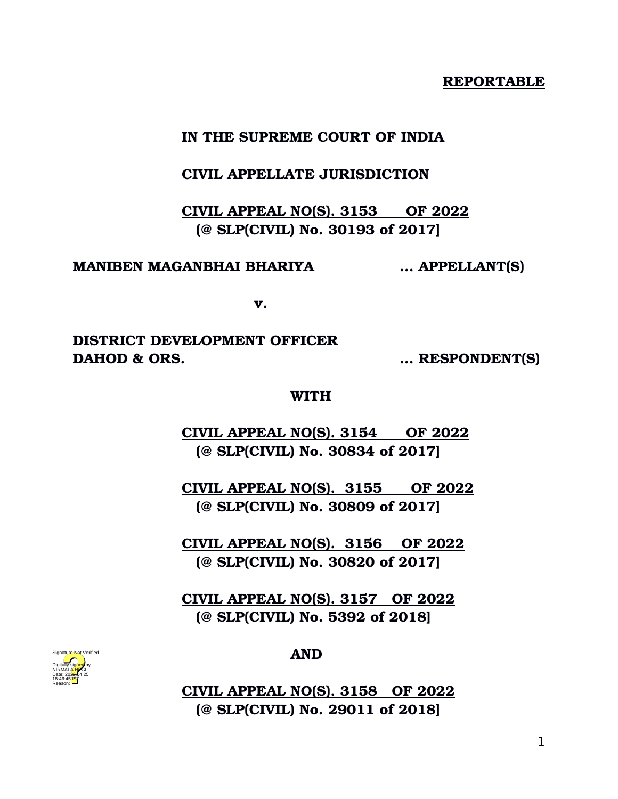## **REPORTABLE**

## **IN THE SUPREME COURT OF INDIA**

### **CIVIL APPELLATE JURISDICTION**

# **CIVIL APPEAL NO(S). 3153 OF 2022 (@ SLP(CIVIL) No. 30193 of 2017]**

#### **MANIBEN MAGANBHAI BHARIYA … APPELLANT(S)**

**v.**

# **DISTRICT DEVELOPMENT OFFICER DAHOD & ORS. … RESPONDENT(S)**

#### **WITH**

**CIVIL APPEAL NO(S). 3154 OF 2022 (@ SLP(CIVIL) No. 30834 of 2017]**

**CIVIL APPEAL NO(S). 3155 OF 2022 (@ SLP(CIVIL) No. 30809 of 2017]**

**CIVIL APPEAL NO(S). 3156 OF 2022 (@ SLP(CIVIL) No. 30820 of 2017]**

**CIVIL APPEAL NO(S). 3157 OF 2022 (@ SLP(CIVIL) No. 5392 of 2018]**



### **AND**

**CIVIL APPEAL NO(S). 3158 OF 2022 (@ SLP(CIVIL) No. 29011 of 2018]**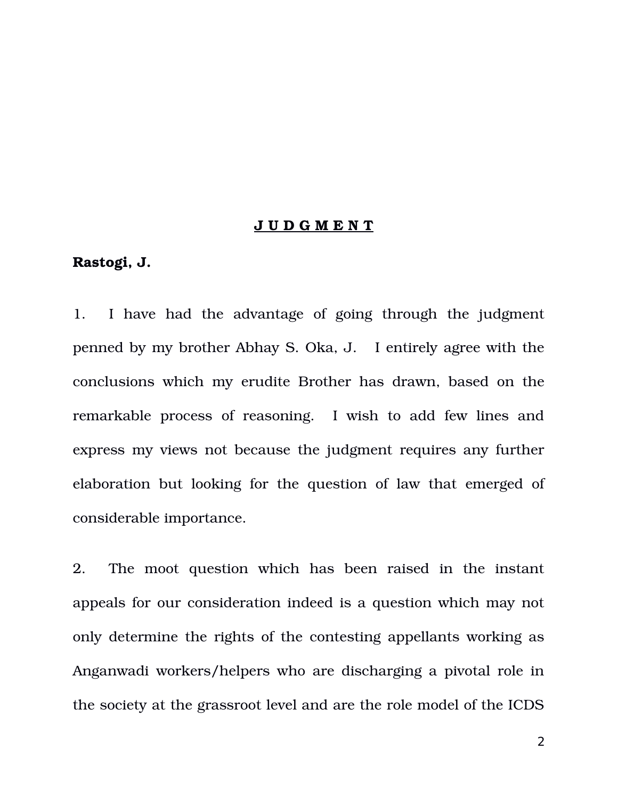#### **J U D G M E N T**

## **Rastogi, J.**

1. I have had the advantage of going through the judgment penned by my brother Abhay S. Oka, J. I entirely agree with the conclusions which my erudite Brother has drawn, based on the remarkable process of reasoning. I wish to add few lines and express my views not because the judgment requires any further elaboration but looking for the question of law that emerged of considerable importance.

2. The moot question which has been raised in the instant appeals for our consideration indeed is a question which may not only determine the rights of the contesting appellants working as Anganwadi workers/helpers who are discharging a pivotal role in the society at the grassroot level and are the role model of the ICDS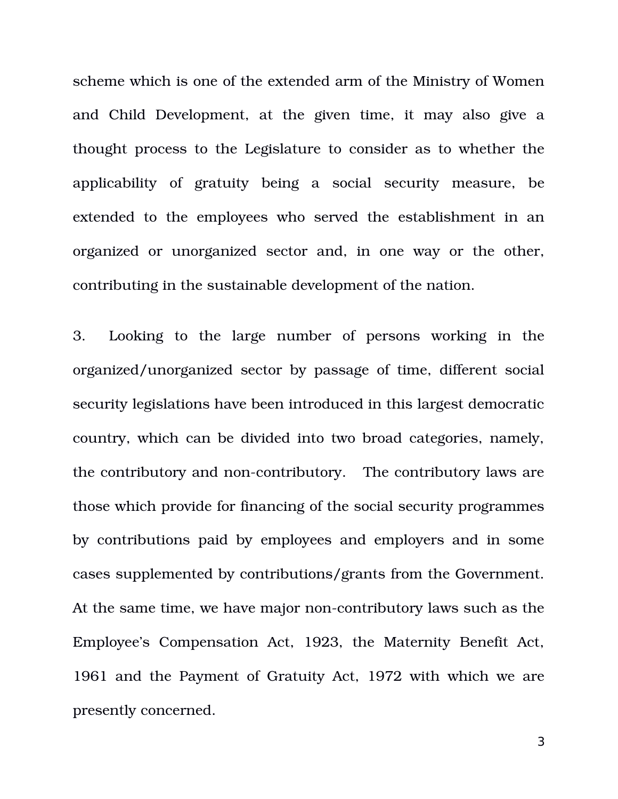scheme which is one of the extended arm of the Ministry of Women and Child Development, at the given time, it may also give a thought process to the Legislature to consider as to whether the applicability of gratuity being a social security measure, be extended to the employees who served the establishment in an organized or unorganized sector and, in one way or the other, contributing in the sustainable development of the nation.

3. Looking to the large number of persons working in the organized/unorganized sector by passage of time, different social security legislations have been introduced in this largest democratic country, which can be divided into two broad categories, namely, the contributory and non-contributory. The contributory laws are those which provide for financing of the social security programmes by contributions paid by employees and employers and in some cases supplemented by contributions/grants from the Government. At the same time, we have major non-contributory laws such as the Employee's Compensation Act, 1923, the Maternity Benefit Act, 1961 and the Payment of Gratuity Act, 1972 with which we are presently concerned.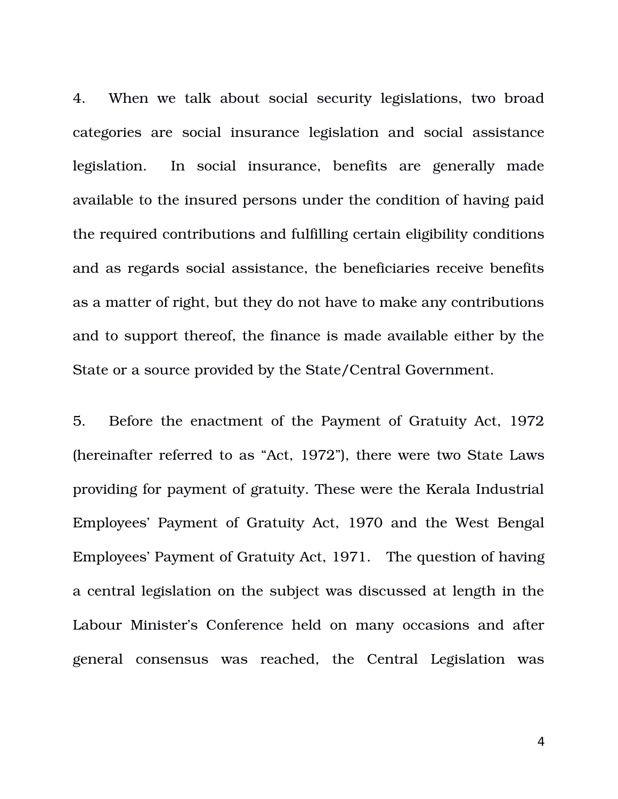4. When we talk about social security legislations, two broad categories are social insurance legislation and social assistance legislation. In social insurance, benefits are generally made available to the insured persons under the condition of having paid the required contributions and fulfilling certain eligibility conditions and as regards social assistance, the beneficiaries receive benefits as a matter of right, but they do not have to make any contributions and to support thereof, the finance is made available either by the State or a source provided by the State/Central Government.

5. Before the enactment of the Payment of Gratuity Act, 1972 (hereinafter referred to as "Act, 1972"), there were two State Laws providing for payment of gratuity. These were the Kerala Industrial Employees' Payment of Gratuity Act, 1970 and the West Bengal Employees' Payment of Gratuity Act, 1971. The question of having a central legislation on the subject was discussed at length in the Labour Minister's Conference held on many occasions and after general consensus was reached, the Central Legislation was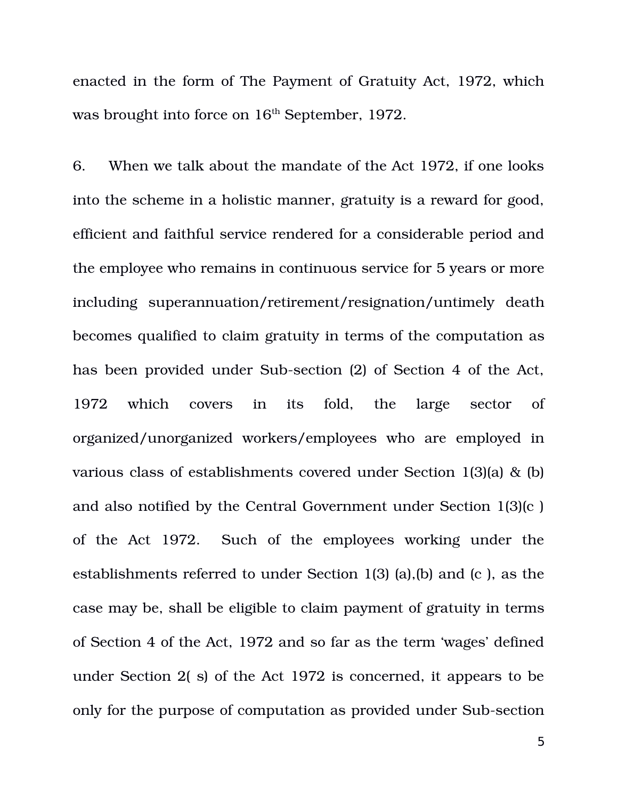enacted in the form of The Payment of Gratuity Act, 1972, which was brought into force on  $16<sup>th</sup>$  September, 1972.

6. When we talk about the mandate of the Act 1972, if one looks into the scheme in a holistic manner, gratuity is a reward for good, efficient and faithful service rendered for a considerable period and the employee who remains in continuous service for 5 years or more including superannuation/retirement/resignation/untimely death becomes qualified to claim gratuity in terms of the computation as has been provided under Sub-section (2) of Section 4 of the Act, 1972 which covers in its fold, the large sector of organized/unorganized workers/employees who are employed in various class of establishments covered under Section 1(3)(a) & (b) and also notified by the Central Government under Section 1(3)(c ) of the Act 1972. Such of the employees working under the establishments referred to under Section 1(3) (a),(b) and (c ), as the case may be, shall be eligible to claim payment of gratuity in terms of Section 4 of the Act, 1972 and so far as the term 'wages' defined under Section 2( s) of the Act 1972 is concerned, it appears to be only for the purpose of computation as provided under Sub-section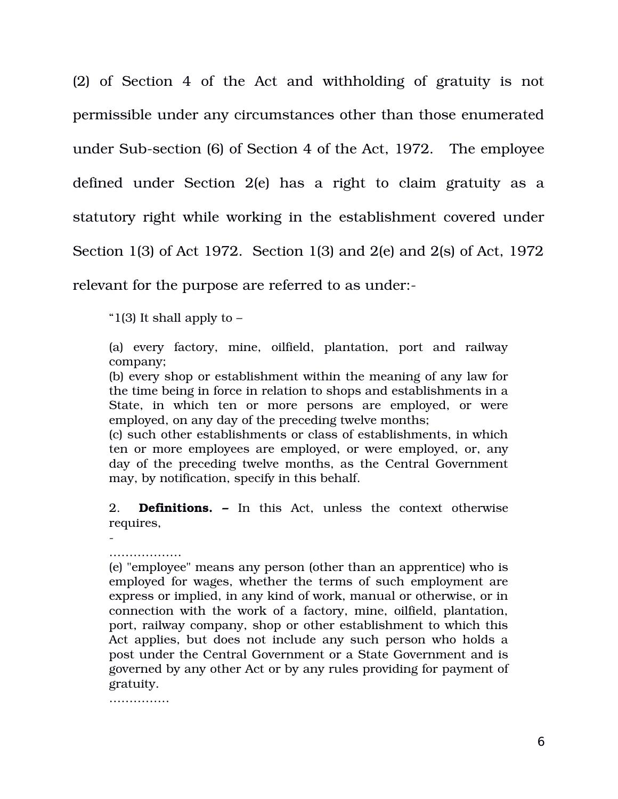$(2)$  of Section 4 of the Act and withholding of gratuity is not permissible under any circumstances other than those enumerated under Sub-section (6) of Section 4 of the Act, 1972. The employee defined under Section 2(e) has a right to claim gratuity as a statutory right while working in the establishment covered under Section 1(3) of Act 1972. Section 1(3) and 2(e) and 2(s) of Act, 1972 relevant for the purpose are referred to as under:

" $1(3)$  It shall apply to  $-$ 

(a) every factory, mine, oilfield, plantation, port and railway company;

(b) every shop or establishment within the meaning of any law for the time being in force in relation to shops and establishments in a State, in which ten or more persons are employed, or were employed, on any day of the preceding twelve months;

(c) such other establishments or class of establishments, in which ten or more employees are employed, or were employed, or, any day of the preceding twelve months, as the Central Government may, by notification, specify in this behalf.

2. **Definitions.** – In this Act, unless the context otherwise requires,

 $\overline{a}$ 

#### ………………

(e) "employee" means any person (other than an apprentice) who is employed for wages, whether the terms of such employment are express or implied, in any kind of work, manual or otherwise, or in connection with the work of a factory, mine, oilfield, plantation, port, railway company, shop or other establishment to which this Act applies, but does not include any such person who holds a post under the Central Government or a State Government and is governed by any other Act or by any rules providing for payment of gratuity.

……………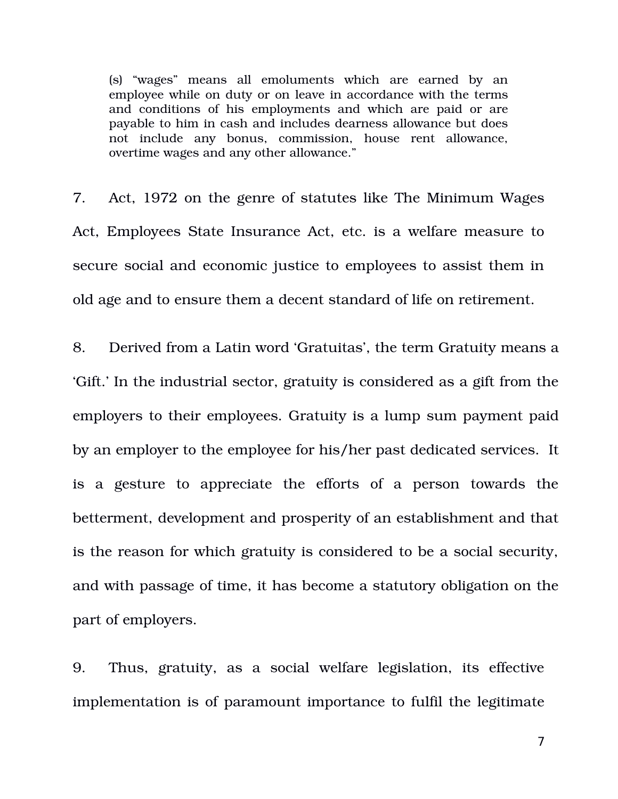(s) "wages" means all emoluments which are earned by an employee while on duty or on leave in accordance with the terms and conditions of his employments and which are paid or are payable to him in cash and includes dearness allowance but does not include any bonus, commission, house rent allowance, overtime wages and any other allowance."

7. Act, 1972 on the genre of statutes like The Minimum Wages Act, Employees State Insurance Act, etc. is a welfare measure to secure social and economic justice to employees to assist them in old age and to ensure them a decent standard of life on retirement.

8. Derived from a Latin word 'Gratuitas', the term Gratuity means a 'Gift.' In the industrial sector, gratuity is considered as a gift from the employers to their employees. Gratuity is a lump sum payment paid by an employer to the employee for his/her past dedicated services. It is a gesture to appreciate the efforts of a person towards the betterment, development and prosperity of an establishment and that is the reason for which gratuity is considered to be a social security, and with passage of time, it has become a statutory obligation on the part of employers.

9. Thus, gratuity, as a social welfare legislation, its effective implementation is of paramount importance to fulfil the legitimate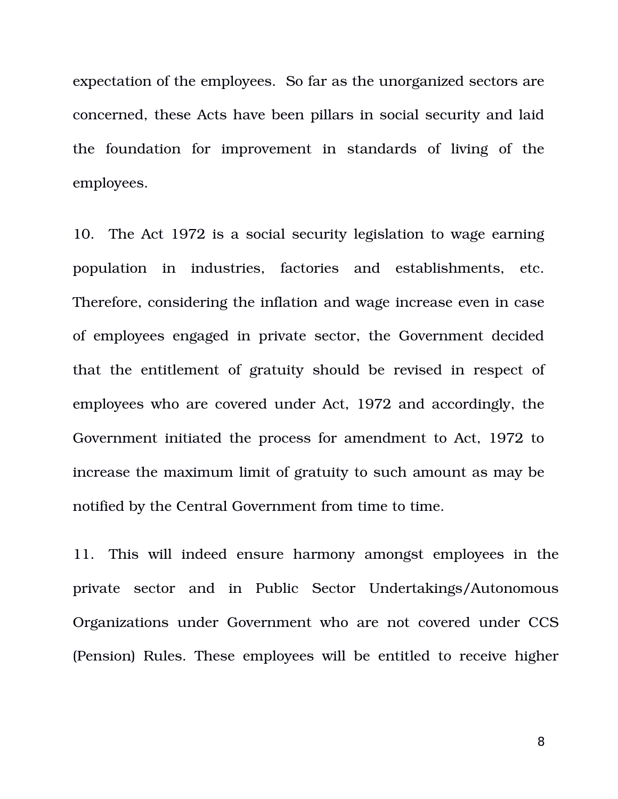expectation of the employees. So far as the unorganized sectors are concerned, these Acts have been pillars in social security and laid the foundation for improvement in standards of living of the employees.

10. The Act 1972 is a social security legislation to wage earning population in industries, factories and establishments, etc. Therefore, considering the inflation and wage increase even in case of employees engaged in private sector, the Government decided that the entitlement of gratuity should be revised in respect of employees who are covered under Act, 1972 and accordingly, the Government initiated the process for amendment to Act, 1972 to increase the maximum limit of gratuity to such amount as may be notified by the Central Government from time to time.

11. This will indeed ensure harmony amongst employees in the private sector and in Public Sector Undertakings/Autonomous Organizations under Government who are not covered under CCS (Pension) Rules. These employees will be entitled to receive higher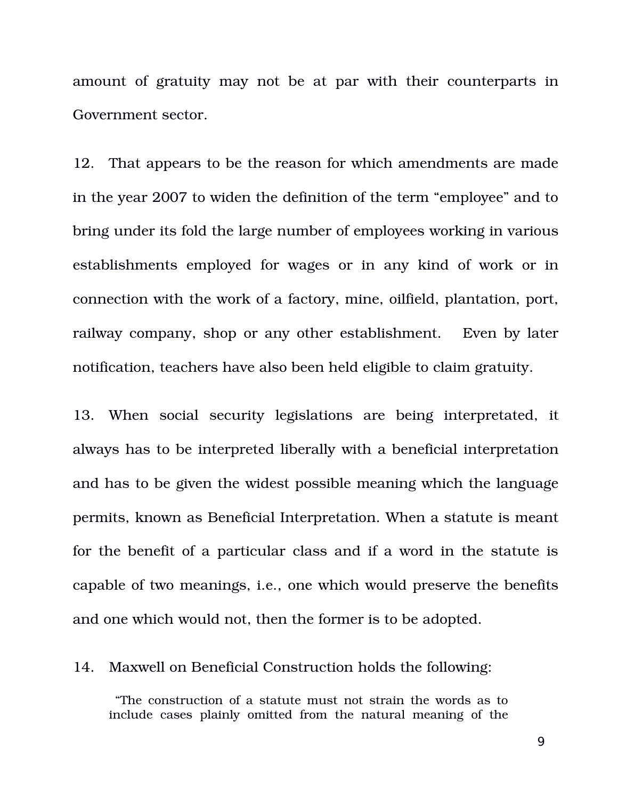amount of gratuity may not be at par with their counterparts in Government sector.

12. That appears to be the reason for which amendments are made in the year 2007 to widen the definition of the term "employee" and to bring under its fold the large number of employees working in various establishments employed for wages or in any kind of work or in connection with the work of a factory, mine, oilfield, plantation, port, railway company, shop or any other establishment. Even by later notification, teachers have also been held eligible to claim gratuity.

13. When social security legislations are being interpretated, it always has to be interpreted liberally with a beneficial interpretation and has to be given the widest possible meaning which the language permits, known as Beneficial Interpretation. When a statute is meant for the benefit of a particular class and if a word in the statute is capable of two meanings, i.e., one which would preserve the benefits and one which would not, then the former is to be adopted.

## 14. Maxwell on Beneficial Construction holds the following:

 "The construction of a statute must not strain the words as to include cases plainly omitted from the natural meaning of the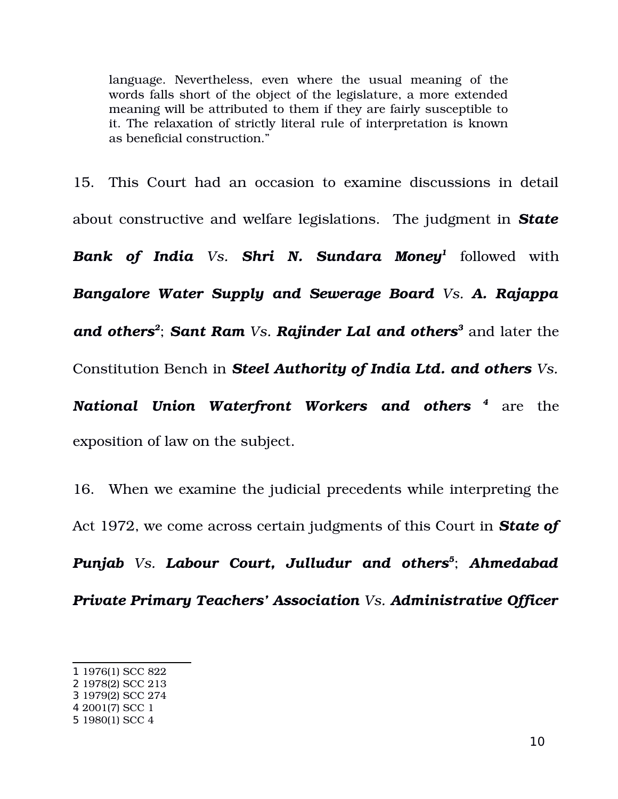language. Nevertheless, even where the usual meaning of the words falls short of the object of the legislature, a more extended meaning will be attributed to them if they are fairly susceptible to it. The relaxation of strictly literal rule of interpretation is known as beneficial construction."

15. This Court had an occasion to examine discussions in detail about constructive and welfare legislations. The judgment in *State Bank of India Vs. Shri N. Sundara Money[1](#page-9-0)* followed with *Bangalore Water Supply and Sewerage Board Vs. A. Rajappa and others[2](#page-9-1)* ; *Sant Ram Vs. Rajinder Lal and others[3](#page-9-2)* and later the Constitution Bench in *Steel Authority of India Ltd. and others Vs.*

*National Union Waterfront Workers and others [4](#page-9-3)* are the exposition of law on the subject.

16. When we examine the judicial precedents while interpreting the Act 1972, we come across certain judgments of this Court in *State of*

*Punjab Vs. Labour Court, Julludur and others[5](#page-9-4)* ; *Ahmedabad Private Primary Teachers' Association Vs. Administrative Officer*

<span id="page-9-0"></span><sup>1</sup> 1976(1) SCC 822

<span id="page-9-1"></span><sup>2</sup> 1978(2) SCC 213

<span id="page-9-2"></span><sup>3</sup> 1979(2) SCC 274

<span id="page-9-3"></span><sup>4</sup> 2001(7) SCC 1

<span id="page-9-4"></span><sup>5</sup> 1980(1) SCC 4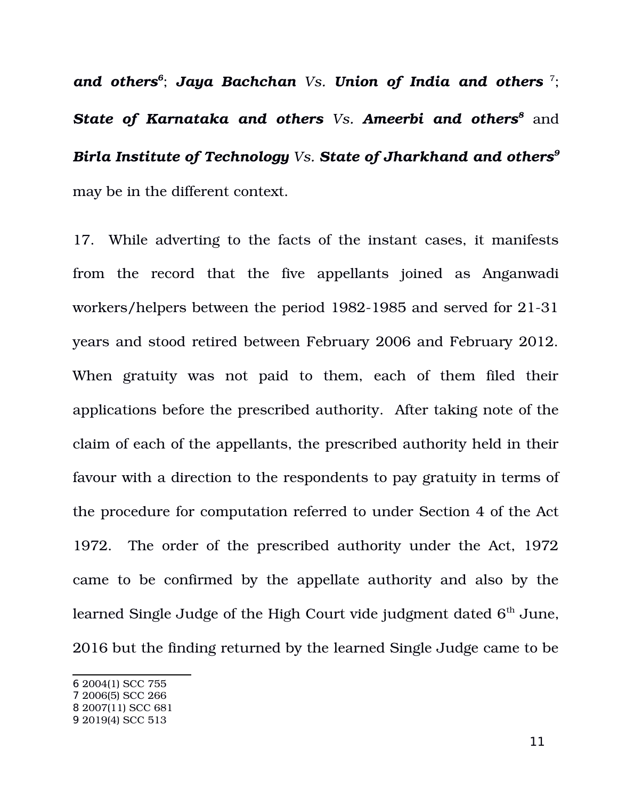*and others[6](#page-10-0)* ; *Jaya Bachchan Vs. Union of India and others* [7](#page-10-1) ; **State of Karnataka and others** Vs. **Ameerbi and others<sup>[8](#page-10-2)</sup> and** *Birla Institute of Technology Vs. State of Jharkhand and others[9](#page-10-3)* may be in the different context.

17. While adverting to the facts of the instant cases, it manifests from the record that the five appellants joined as Anganwadi workers/helpers between the period 1982-1985 and served for 21-31 years and stood retired between February 2006 and February 2012. When gratuity was not paid to them, each of them filed their applications before the prescribed authority. After taking note of the claim of each of the appellants, the prescribed authority held in their favour with a direction to the respondents to pay gratuity in terms of the procedure for computation referred to under Section 4 of the Act 1972. The order of the prescribed authority under the Act, 1972 came to be confirmed by the appellate authority and also by the learned Single Judge of the High Court vide judgment dated  $6<sup>th</sup>$  June, 2016 but the finding returned by the learned Single Judge came to be

<span id="page-10-0"></span><sup>6</sup> 2004(1) SCC 755

<span id="page-10-1"></span><sup>7</sup> 2006(5) SCC 266

<span id="page-10-2"></span><sup>8</sup> 2007(11) SCC 681

<span id="page-10-3"></span><sup>9</sup> 2019(4) SCC 513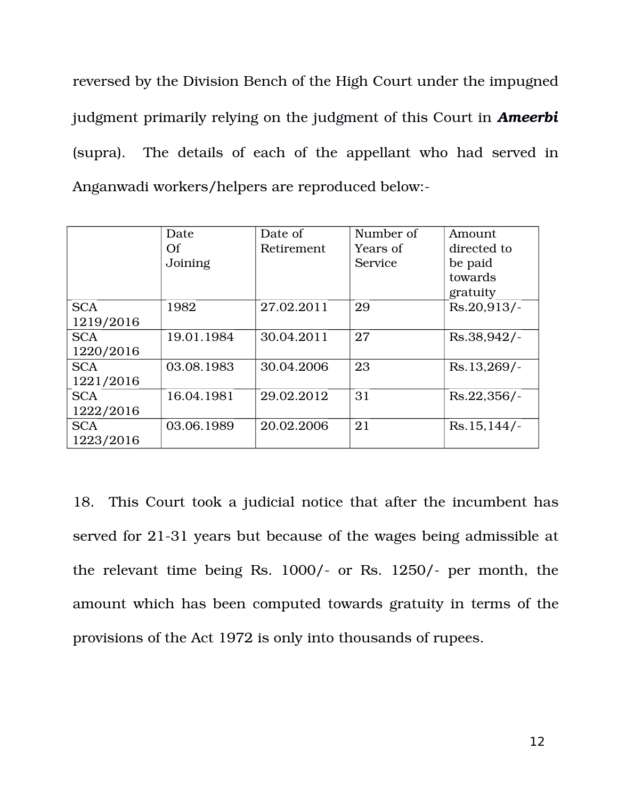reversed by the Division Bench of the High Court under the impugned judgment primarily relying on the judgment of this Court in *Ameerbi* (supra). The details of each of the appellant who had served in Anganwadi workers/helpers are reproduced below:

|            | Date       | Date of    | Number of | Amount        |
|------------|------------|------------|-----------|---------------|
|            | Of         | Retirement | Years of  | directed to   |
|            | Joining    |            | Service   | be paid       |
|            |            |            |           | towards       |
|            |            |            |           | gratuity      |
| <b>SCA</b> | 1982       | 27.02.2011 | 29        | $Rs.20.913/-$ |
| 1219/2016  |            |            |           |               |
| <b>SCA</b> | 19.01.1984 | 30.04.2011 | 27        | Rs.38,942/    |
| 1220/2016  |            |            |           |               |
| <b>SCA</b> | 03.08.1983 | 30.04.2006 | 23        | Rs.13,269/-   |
| 1221/2016  |            |            |           |               |
| <b>SCA</b> | 16.04.1981 | 29.02.2012 | 31        | $Rs.22,356/-$ |
| 1222/2016  |            |            |           |               |
| <b>SCA</b> | 03.06.1989 | 20.02.2006 | 21        | $Rs.15,144/-$ |
| 1223/2016  |            |            |           |               |

18. This Court took a judicial notice that after the incumbent has served for 21-31 years but because of the wages being admissible at the relevant time being Rs.  $1000/-$  or Rs.  $1250/-$  per month, the amount which has been computed towards gratuity in terms of the provisions of the Act 1972 is only into thousands of rupees.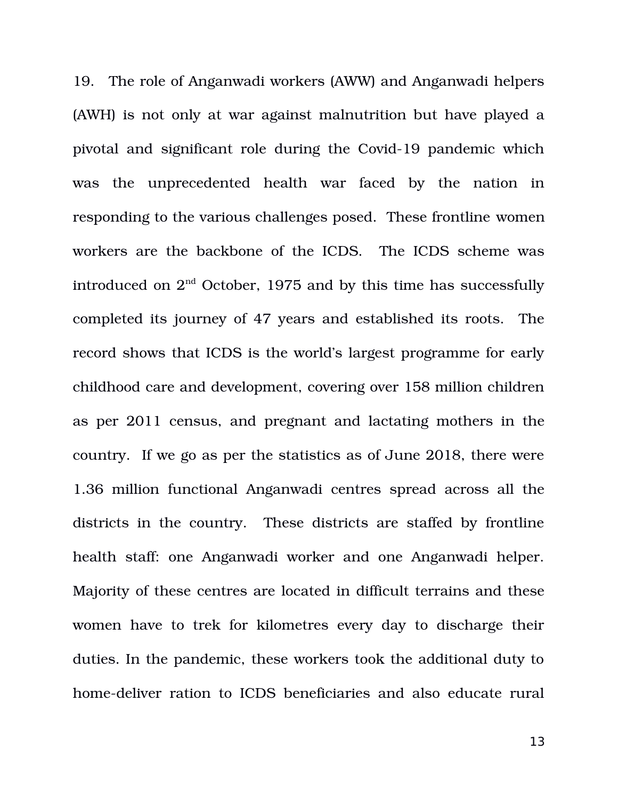19. The role of Anganwadi workers (AWW) and Anganwadi helpers (AWH) is not only at war against malnutrition but have played a pivotal and significant role during the Covid-19 pandemic which was the unprecedented health war faced by the nation in responding to the various challenges posed. These frontline women workers are the backbone of the ICDS. The ICDS scheme was introduced on  $2<sup>nd</sup>$  October, 1975 and by this time has successfully completed its journey of 47 years and established its roots. The record shows that ICDS is the world's largest programme for early childhood care and development, covering over 158 million children as per 2011 census, and pregnant and lactating mothers in the country. If we go as per the statistics as of June 2018, there were 1.36 million functional Anganwadi centres spread across all the districts in the country. These districts are staffed by frontline health staff: one Anganwadi worker and one Anganwadi helper. Majority of these centres are located in difficult terrains and these women have to trek for kilometres every day to discharge their duties. In the pandemic, these workers took the additional duty to home-deliver ration to ICDS beneficiaries and also educate rural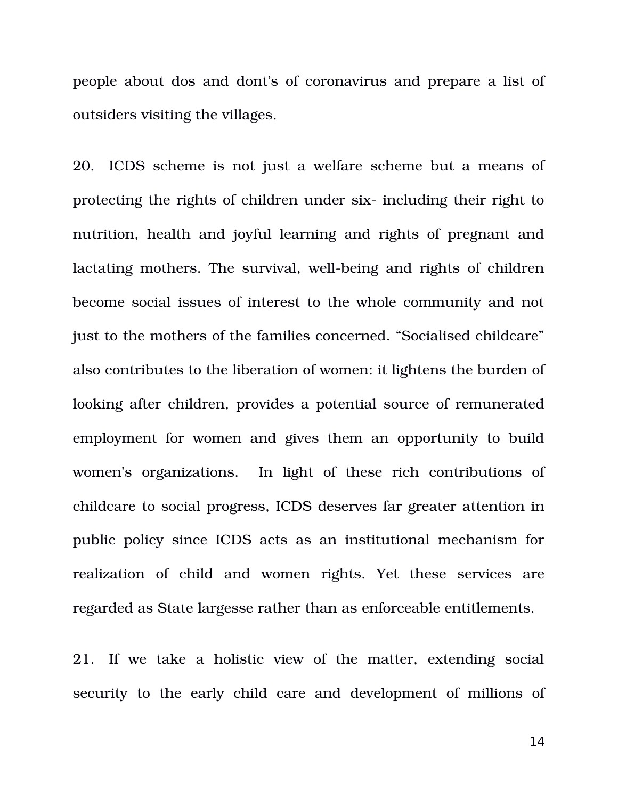people about dos and dont's of coronavirus and prepare a list of outsiders visiting the villages.

20. ICDS scheme is not just a welfare scheme but a means of protecting the rights of children under six- including their right to nutrition, health and joyful learning and rights of pregnant and lactating mothers. The survival, well-being and rights of children become social issues of interest to the whole community and not just to the mothers of the families concerned. "Socialised childcare" also contributes to the liberation of women: it lightens the burden of looking after children, provides a potential source of remunerated employment for women and gives them an opportunity to build women's organizations. In light of these rich contributions of childcare to social progress, ICDS deserves far greater attention in public policy since ICDS acts as an institutional mechanism for realization of child and women rights. Yet these services are regarded as State largesse rather than as enforceable entitlements.

21. If we take a holistic view of the matter, extending social security to the early child care and development of millions of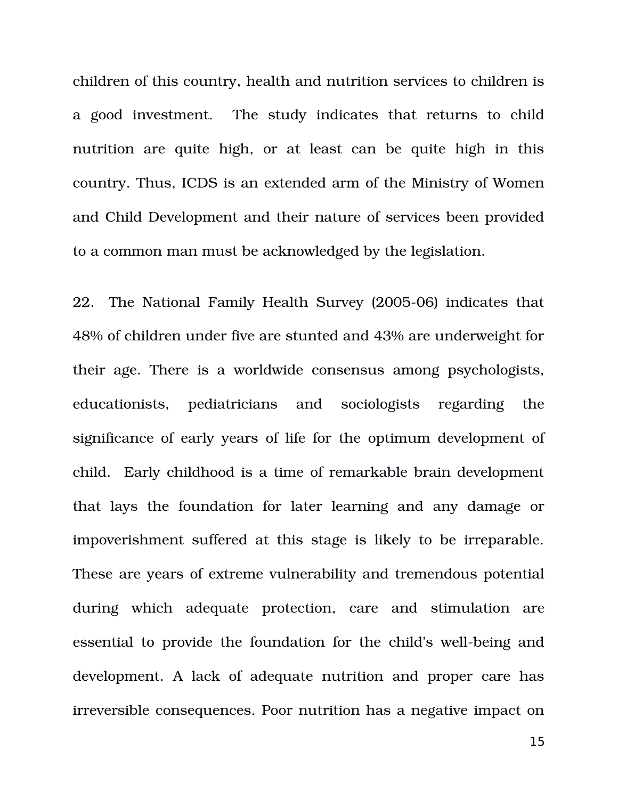children of this country, health and nutrition services to children is a good investment. The study indicates that returns to child nutrition are quite high, or at least can be quite high in this country. Thus, ICDS is an extended arm of the Ministry of Women and Child Development and their nature of services been provided to a common man must be acknowledged by the legislation.

22. The National Family Health Survey (2005-06) indicates that 48% of children under five are stunted and 43% are underweight for their age. There is a worldwide consensus among psychologists, educationists, pediatricians and sociologists regarding the significance of early years of life for the optimum development of child. Early childhood is a time of remarkable brain development that lays the foundation for later learning and any damage or impoverishment suffered at this stage is likely to be irreparable. These are years of extreme vulnerability and tremendous potential during which adequate protection, care and stimulation are essential to provide the foundation for the child's well-being and development. A lack of adequate nutrition and proper care has irreversible consequences. Poor nutrition has a negative impact on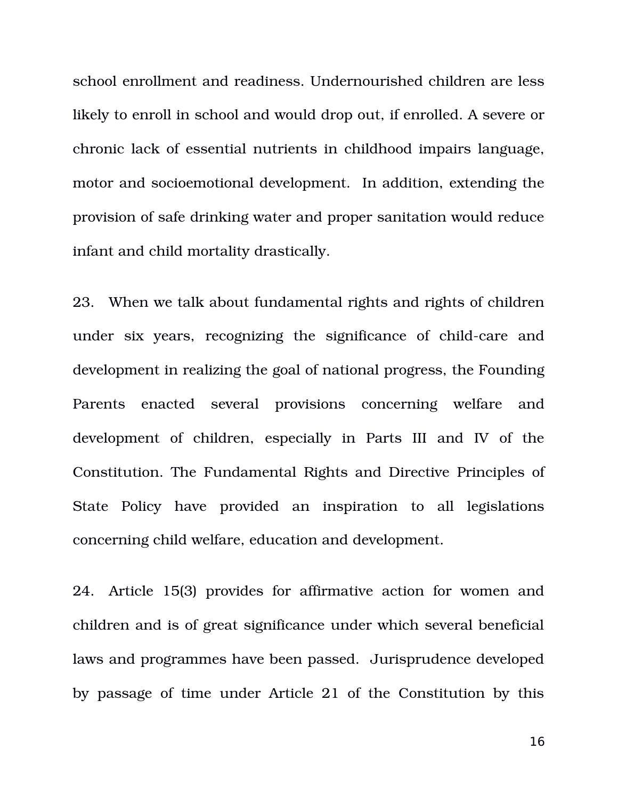school enrollment and readiness. Undernourished children are less likely to enroll in school and would drop out, if enrolled. A severe or chronic lack of essential nutrients in childhood impairs language, motor and socioemotional development. In addition, extending the provision of safe drinking water and proper sanitation would reduce infant and child mortality drastically.

23. When we talk about fundamental rights and rights of children under six years, recognizing the significance of child-care and development in realizing the goal of national progress, the Founding Parents enacted several provisions concerning welfare and development of children, especially in Parts III and IV of the Constitution. The Fundamental Rights and Directive Principles of State Policy have provided an inspiration to all legislations concerning child welfare, education and development.

24. Article 15(3) provides for affirmative action for women and children and is of great significance under which several beneficial laws and programmes have been passed. Jurisprudence developed by passage of time under Article 21 of the Constitution by this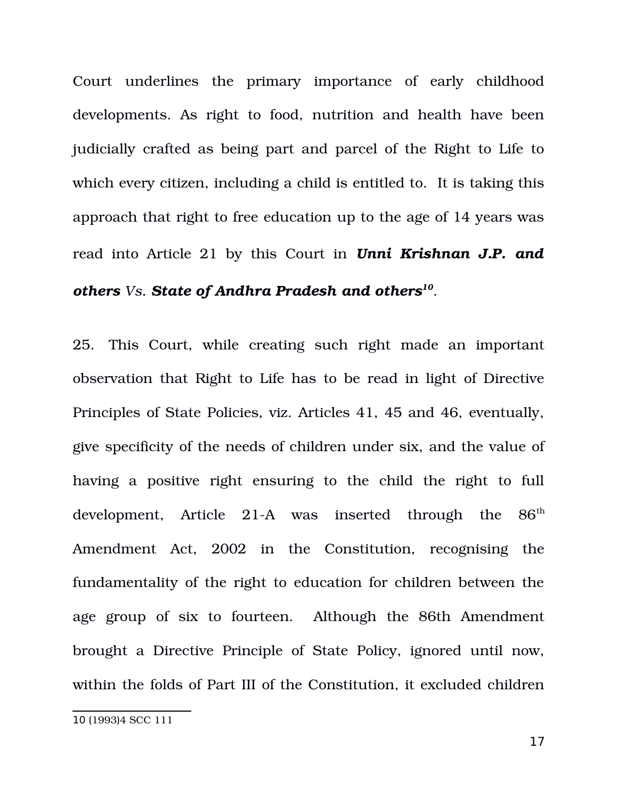Court underlines the primary importance of early childhood developments. As right to food, nutrition and health have been judicially crafted as being part and parcel of the Right to Life to which every citizen, including a child is entitled to. It is taking this approach that right to free education up to the age of 14 years was read into Article 21 by this Court in *Unni Krishnan J.P. and others Vs. State of Andhra Pradesh and others[10](#page-16-0)* .

<span id="page-16-0"></span>25. This Court, while creating such right made an important observation that Right to Life has to be read in light of Directive Principles of State Policies, viz. Articles 41, 45 and 46, eventually, give specificity of the needs of children under six, and the value of having a positive right ensuring to the child the right to full development, Article 21-A was inserted through the  $86<sup>th</sup>$ Amendment Act, 2002 in the Constitution, recognising the fundamentality of the right to education for children between the age group of six to fourteen. Although the 86th Amendment brought a Directive Principle of State Policy, ignored until now, within the folds of Part III of the Constitution, it excluded children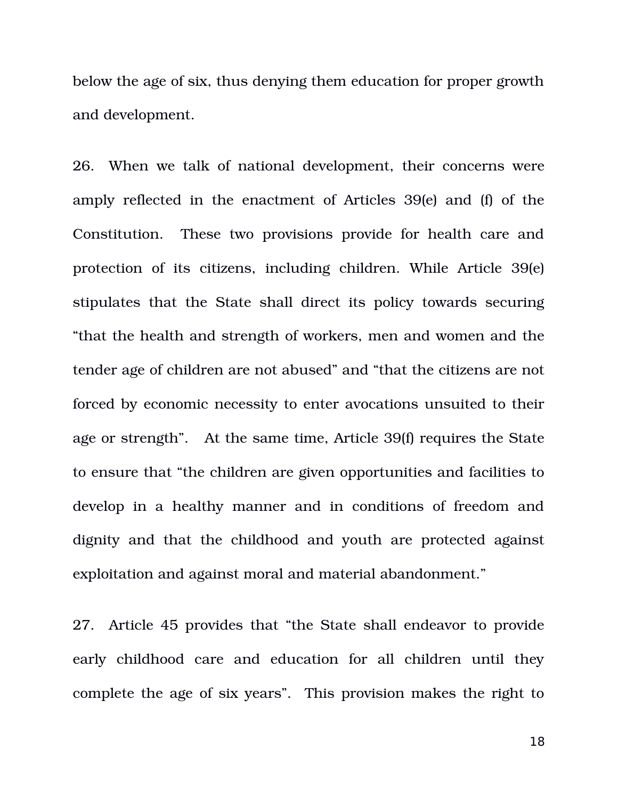below the age of six, thus denying them education for proper growth and development.

26. When we talk of national development, their concerns were amply reflected in the enactment of Articles 39(e) and (f) of the Constitution. These two provisions provide for health care and protection of its citizens, including children. While Article 39(e) stipulates that the State shall direct its policy towards securing "that the health and strength of workers, men and women and the tender age of children are not abused" and "that the citizens are not forced by economic necessity to enter avocations unsuited to their age or strength". At the same time, Article 39(f) requires the State to ensure that "the children are given opportunities and facilities to develop in a healthy manner and in conditions of freedom and dignity and that the childhood and youth are protected against exploitation and against moral and material abandonment."

27. Article 45 provides that "the State shall endeavor to provide early childhood care and education for all children until they complete the age of six years". This provision makes the right to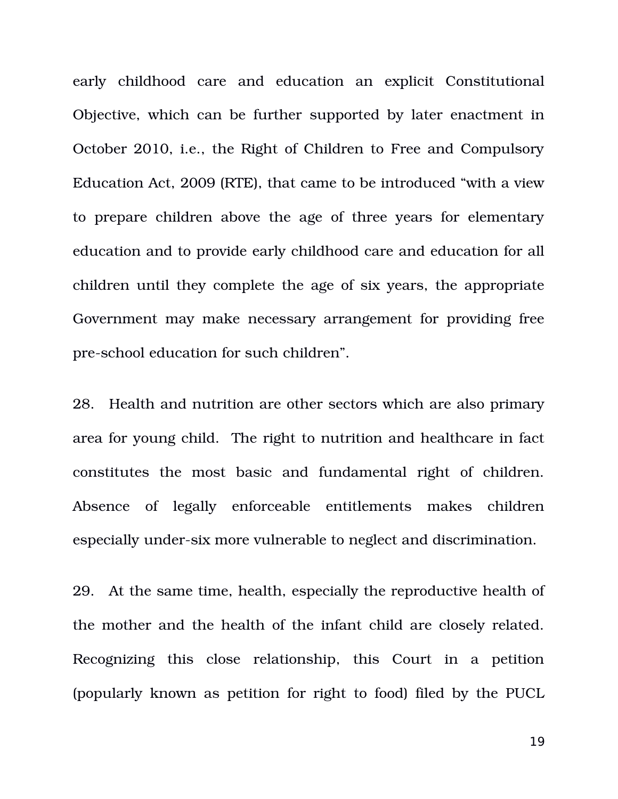early childhood care and education an explicit Constitutional Objective, which can be further supported by later enactment in October 2010, i.e., the Right of Children to Free and Compulsory Education Act, 2009 (RTE), that came to be introduced "with a view to prepare children above the age of three years for elementary education and to provide early childhood care and education for all children until they complete the age of six years, the appropriate Government may make necessary arrangement for providing free pre-school education for such children".

28. Health and nutrition are other sectors which are also primary area for young child. The right to nutrition and healthcare in fact constitutes the most basic and fundamental right of children. Absence of legally enforceable entitlements makes children especially under-six more vulnerable to neglect and discrimination.

29. At the same time, health, especially the reproductive health of the mother and the health of the infant child are closely related. Recognizing this close relationship, this Court in a petition (popularly known as petition for right to food) filed by the PUCL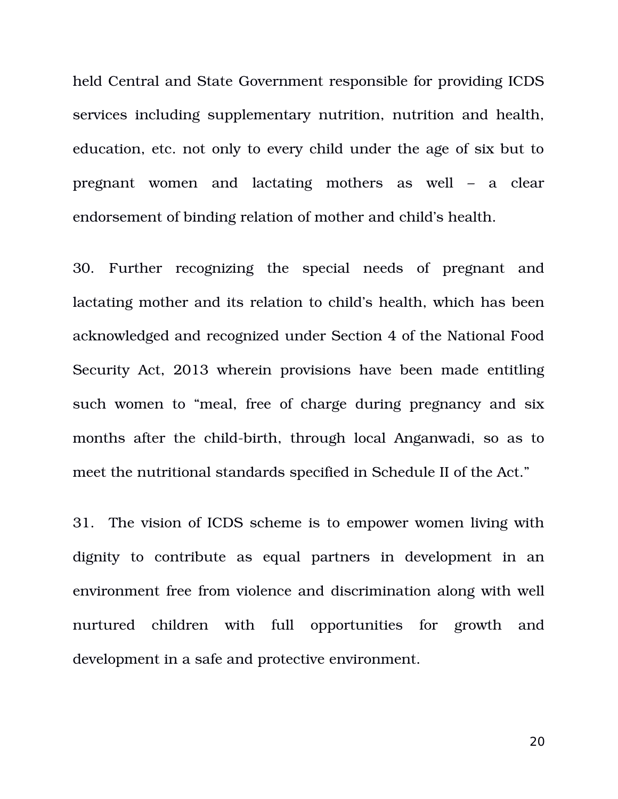held Central and State Government responsible for providing ICDS services including supplementary nutrition, nutrition and health, education, etc. not only to every child under the age of six but to pregnant women and lactating mothers as well – a clear endorsement of binding relation of mother and child's health.

30. Further recognizing the special needs of pregnant and lactating mother and its relation to child's health, which has been acknowledged and recognized under Section 4 of the National Food Security Act, 2013 wherein provisions have been made entitling such women to "meal, free of charge during pregnancy and six months after the child-birth, through local Anganwadi, so as to meet the nutritional standards specified in Schedule II of the Act."

31. The vision of ICDS scheme is to empower women living with dignity to contribute as equal partners in development in an environment free from violence and discrimination along with well nurtured children with full opportunities for growth and development in a safe and protective environment.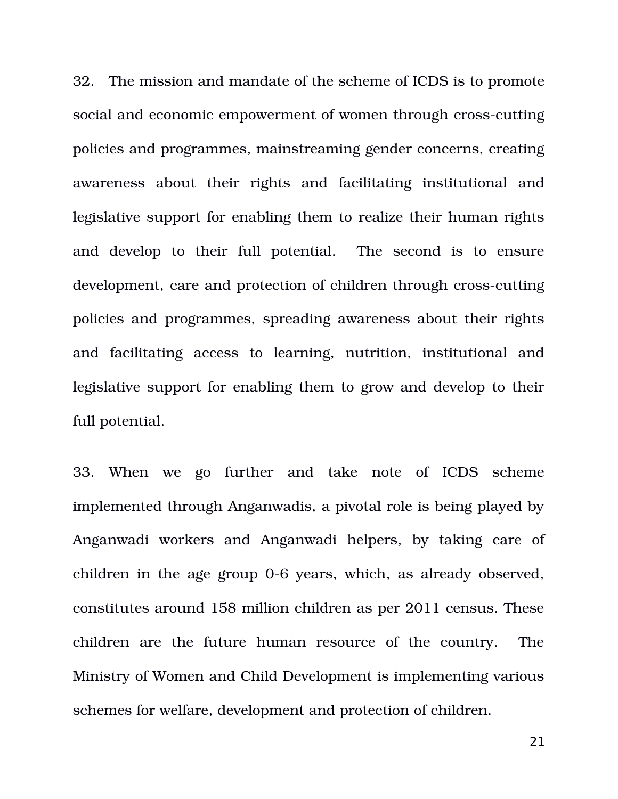32. The mission and mandate of the scheme of ICDS is to promote social and economic empowerment of women through cross-cutting policies and programmes, mainstreaming gender concerns, creating awareness about their rights and facilitating institutional and legislative support for enabling them to realize their human rights and develop to their full potential. The second is to ensure development, care and protection of children through cross-cutting policies and programmes, spreading awareness about their rights and facilitating access to learning, nutrition, institutional and legislative support for enabling them to grow and develop to their full potential.

33. When we go further and take note of ICDS scheme implemented through Anganwadis, a pivotal role is being played by Anganwadi workers and Anganwadi helpers, by taking care of children in the age group 0-6 years, which, as already observed, constitutes around 158 million children as per 2011 census. These children are the future human resource of the country. The Ministry of Women and Child Development is implementing various schemes for welfare, development and protection of children.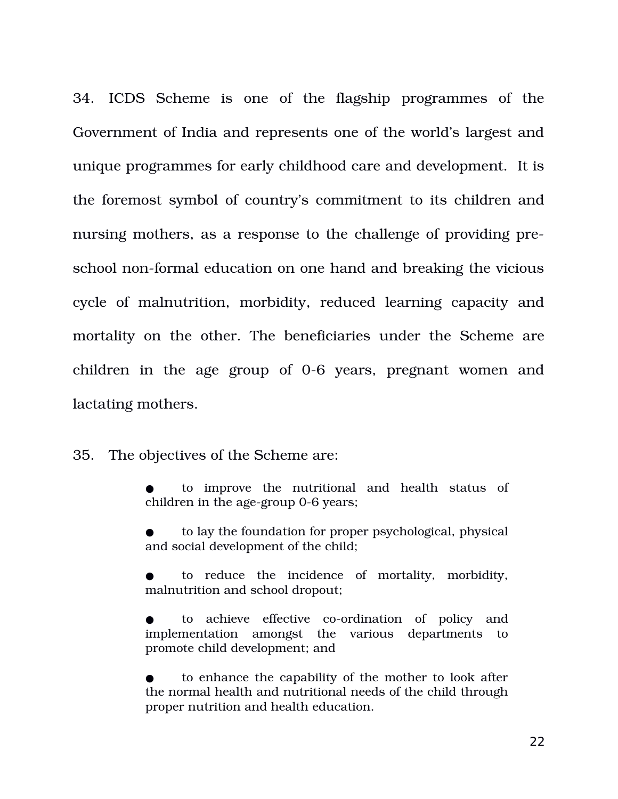34. ICDS Scheme is one of the flagship programmes of the Government of India and represents one of the world's largest and unique programmes for early childhood care and development. It is the foremost symbol of country's commitment to its children and nursing mothers, as a response to the challenge of providing preschool non-formal education on one hand and breaking the vicious cycle of malnutrition, morbidity, reduced learning capacity and mortality on the other. The beneficiaries under the Scheme are children in the age group of 0-6 years, pregnant women and lactating mothers.

35. The objectives of the Scheme are:

to improve the nutritional and health status of children in the age-group  $0-6$  years;

to lay the foundation for proper psychological, physical and social development of the child;

to reduce the incidence of mortality, morbidity, malnutrition and school dropout;

to achieve effective co-ordination of policy and implementation amongst the various departments to promote child development; and

to enhance the capability of the mother to look after the normal health and nutritional needs of the child through proper nutrition and health education.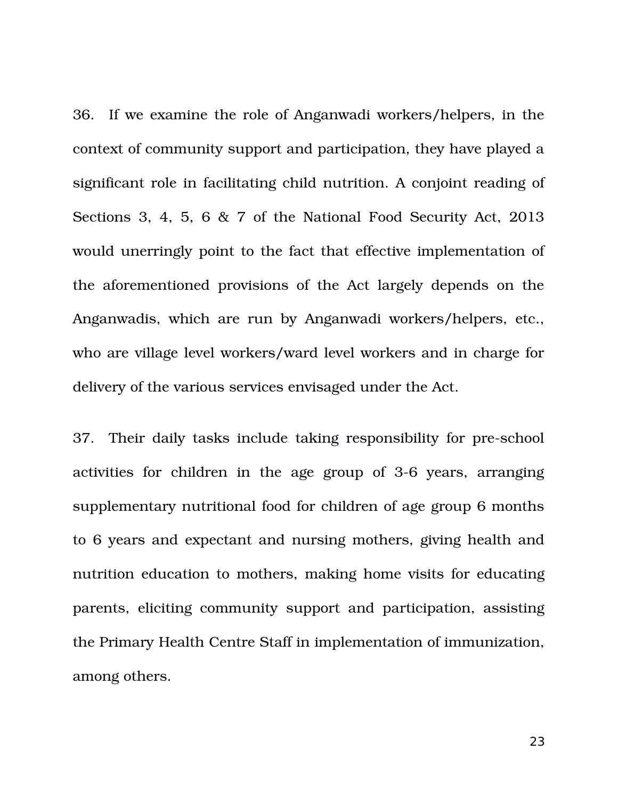36. If we examine the role of Anganwadi workers/helpers, in the context of community support and participation, they have played a significant role in facilitating child nutrition. A conjoint reading of Sections 3, 4, 5, 6 & 7 of the National Food Security Act, 2013 would unerringly point to the fact that effective implementation of the aforementioned provisions of the Act largely depends on the Anganwadis, which are run by Anganwadi workers/helpers, etc., who are village level workers/ward level workers and in charge for delivery of the various services envisaged under the Act.

37. Their daily tasks include taking responsibility for pre-school activities for children in the age group of 3-6 years, arranging supplementary nutritional food for children of age group 6 months to 6 years and expectant and nursing mothers, giving health and nutrition education to mothers, making home visits for educating parents, eliciting community support and participation, assisting the Primary Health Centre Staff in implementation of immunization, among others.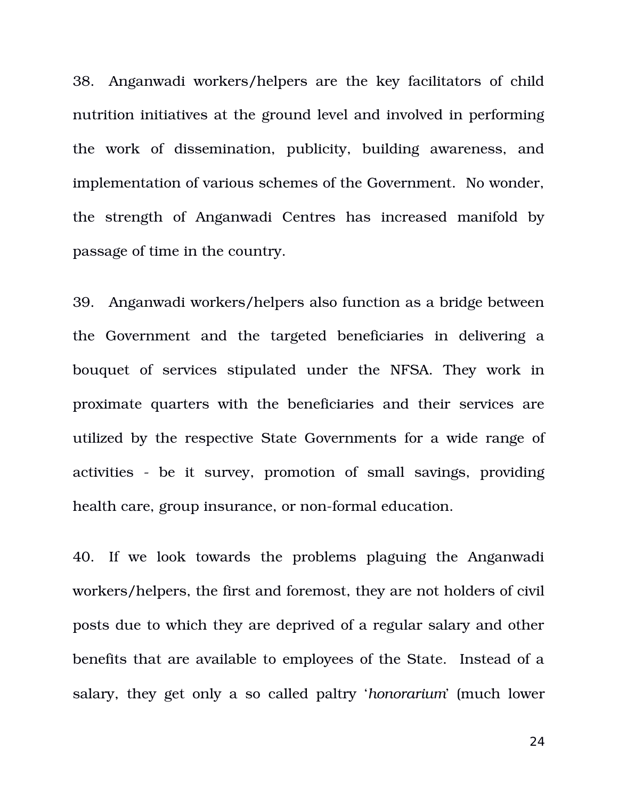38. Anganwadi workers/helpers are the key facilitators of child nutrition initiatives at the ground level and involved in performing the work of dissemination, publicity, building awareness, and implementation of various schemes of the Government. No wonder, the strength of Anganwadi Centres has increased manifold by passage of time in the country.

39. Anganwadi workers/helpers also function as a bridge between the Government and the targeted beneficiaries in delivering a bouquet of services stipulated under the NFSA. They work in proximate quarters with the beneficiaries and their services are utilized by the respective State Governments for a wide range of activities - be it survey, promotion of small savings, providing health care, group insurance, or non-formal education.

40. If we look towards the problems plaguing the Anganwadi workers/helpers, the first and foremost, they are not holders of civil posts due to which they are deprived of a regular salary and other benefits that are available to employees of the State. Instead of a salary, they get only a so called paltry '*honorarium*' (much lower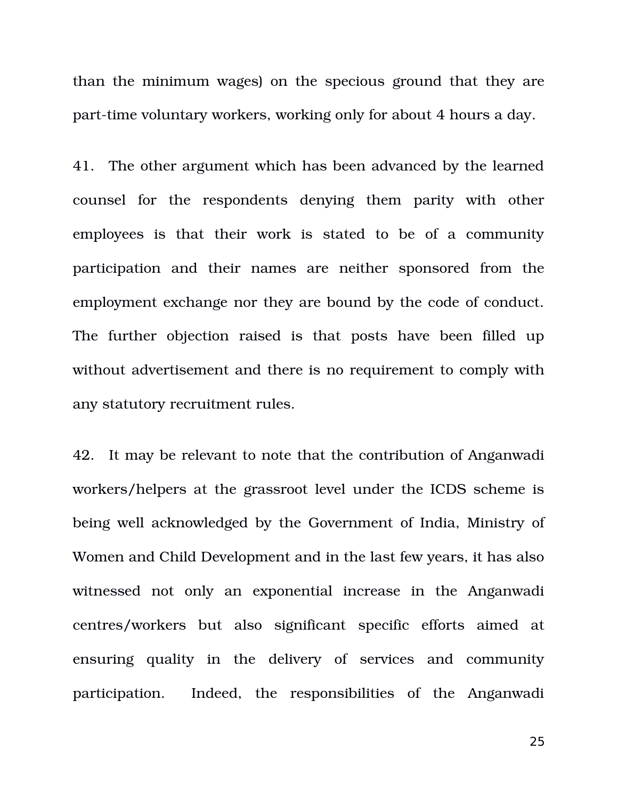than the minimum wages) on the specious ground that they are part-time voluntary workers, working only for about 4 hours a day.

41. The other argument which has been advanced by the learned counsel for the respondents denying them parity with other employees is that their work is stated to be of a community participation and their names are neither sponsored from the employment exchange nor they are bound by the code of conduct. The further objection raised is that posts have been filled up without advertisement and there is no requirement to comply with any statutory recruitment rules.

42. It may be relevant to note that the contribution of Anganwadi workers/helpers at the grassroot level under the ICDS scheme is being well acknowledged by the Government of India, Ministry of Women and Child Development and in the last few years, it has also witnessed not only an exponential increase in the Anganwadi centres/workers but also significant specific efforts aimed at ensuring quality in the delivery of services and community participation. Indeed, the responsibilities of the Anganwadi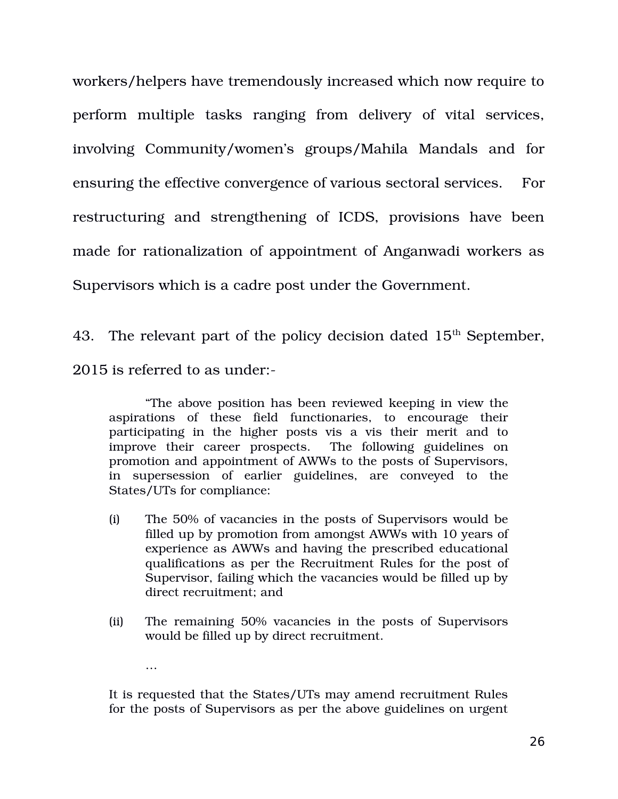workers/helpers have tremendously increased which now require to perform multiple tasks ranging from delivery of vital services, involving Community/women's groups/Mahila Mandals and for ensuring the effective convergence of various sectoral services. For restructuring and strengthening of ICDS, provisions have been made for rationalization of appointment of Anganwadi workers as Supervisors which is a cadre post under the Government.

43. The relevant part of the policy decision dated  $15<sup>th</sup>$  September, 2015 is referred to as under:

"The above position has been reviewed keeping in view the aspirations of these field functionaries, to encourage their participating in the higher posts vis a vis their merit and to improve their career prospects. The following guidelines on promotion and appointment of AWWs to the posts of Supervisors, in supersession of earlier guidelines, are conveyed to the States/UTs for compliance:

- (i) The 50% of vacancies in the posts of Supervisors would be filled up by promotion from amongst AWWs with 10 years of experience as AWWs and having the prescribed educational qualifications as per the Recruitment Rules for the post of Supervisor, failing which the vacancies would be filled up by direct recruitment; and
- (ii) The remaining 50% vacancies in the posts of Supervisors would be filled up by direct recruitment.

…

It is requested that the States/UTs may amend recruitment Rules for the posts of Supervisors as per the above guidelines on urgent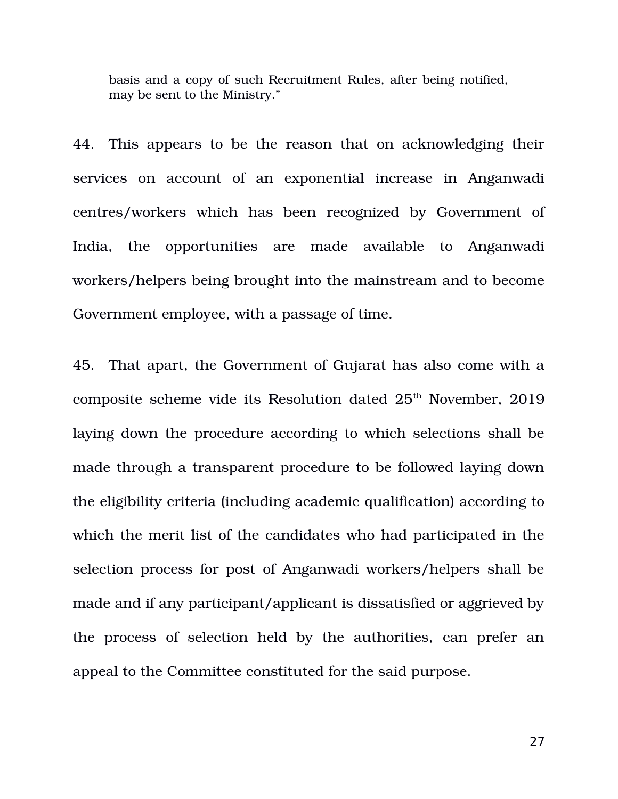basis and a copy of such Recruitment Rules, after being notified, may be sent to the Ministry."

44. This appears to be the reason that on acknowledging their services on account of an exponential increase in Anganwadi centres/workers which has been recognized by Government of India, the opportunities are made available to Anganwadi workers/helpers being brought into the mainstream and to become Government employee, with a passage of time.

45. That apart, the Government of Gujarat has also come with a composite scheme vide its Resolution dated  $25<sup>th</sup>$  November, 2019 laying down the procedure according to which selections shall be made through a transparent procedure to be followed laying down the eligibility criteria (including academic qualification) according to which the merit list of the candidates who had participated in the selection process for post of Anganwadi workers/helpers shall be made and if any participant/applicant is dissatisfied or aggrieved by the process of selection held by the authorities, can prefer an appeal to the Committee constituted for the said purpose.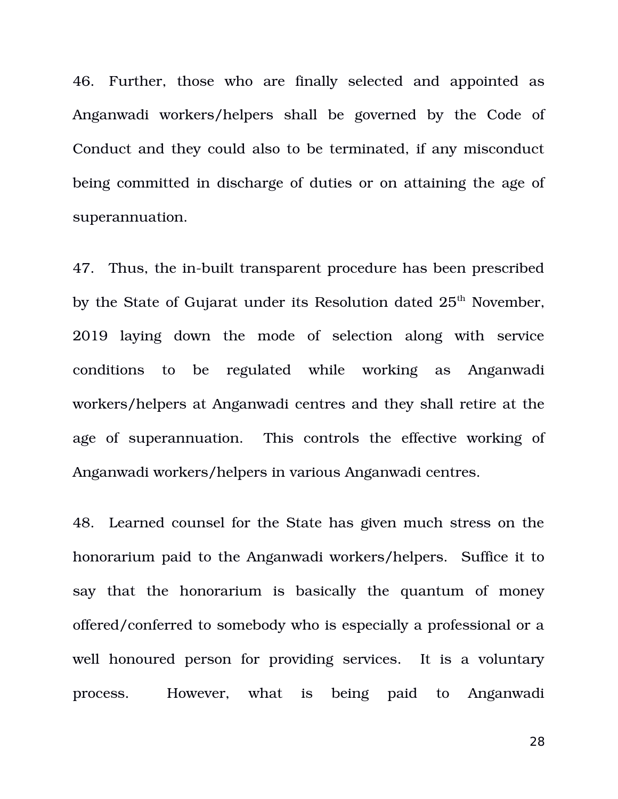46. Further, those who are finally selected and appointed as Anganwadi workers/helpers shall be governed by the Code of Conduct and they could also to be terminated, if any misconduct being committed in discharge of duties or on attaining the age of superannuation.

47. Thus, the in-built transparent procedure has been prescribed by the State of Gujarat under its Resolution dated 25<sup>th</sup> November, 2019 laying down the mode of selection along with service conditions to be regulated while working as Anganwadi workers/helpers at Anganwadi centres and they shall retire at the age of superannuation. This controls the effective working of Anganwadi workers/helpers in various Anganwadi centres.

48. Learned counsel for the State has given much stress on the honorarium paid to the Anganwadi workers/helpers. Suffice it to say that the honorarium is basically the quantum of money offered/conferred to somebody who is especially a professional or a well honoured person for providing services. It is a voluntary process. However, what is being paid to Anganwadi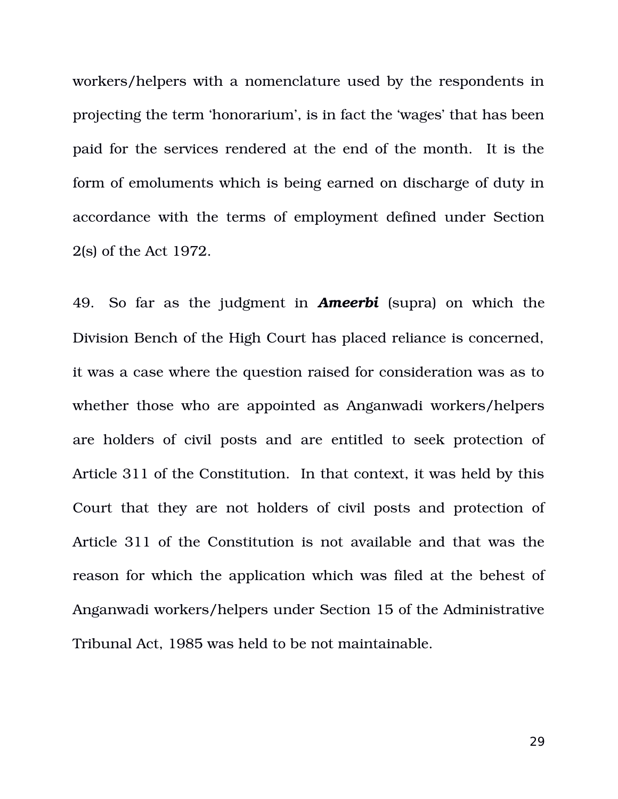workers/helpers with a nomenclature used by the respondents in projecting the term 'honorarium', is in fact the 'wages' that has been paid for the services rendered at the end of the month. It is the form of emoluments which is being earned on discharge of duty in accordance with the terms of employment defined under Section 2(s) of the Act 1972.

49. So far as the judgment in *Ameerbi* (supra) on which the Division Bench of the High Court has placed reliance is concerned, it was a case where the question raised for consideration was as to whether those who are appointed as Anganwadi workers/helpers are holders of civil posts and are entitled to seek protection of Article 311 of the Constitution. In that context, it was held by this Court that they are not holders of civil posts and protection of Article 311 of the Constitution is not available and that was the reason for which the application which was filed at the behest of Anganwadi workers/helpers under Section 15 of the Administrative Tribunal Act, 1985 was held to be not maintainable.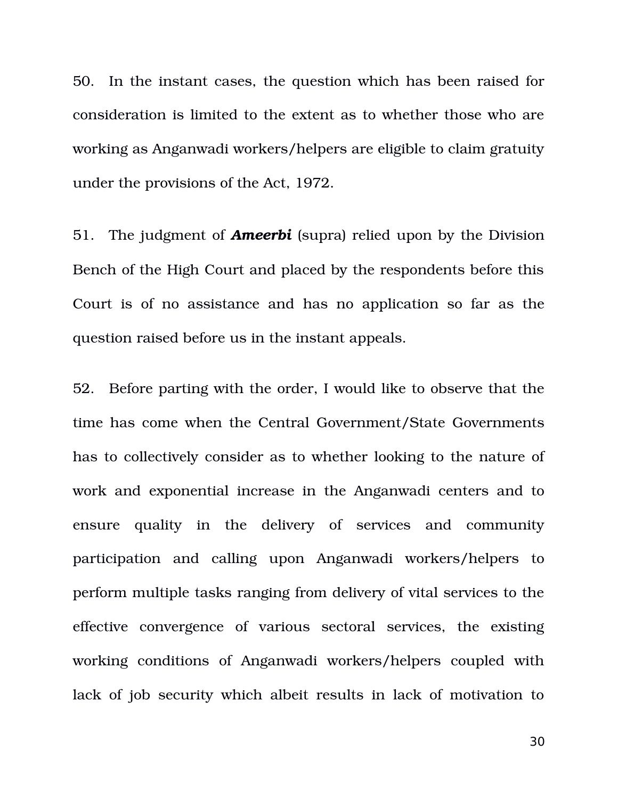50. In the instant cases, the question which has been raised for consideration is limited to the extent as to whether those who are working as Anganwadi workers/helpers are eligible to claim gratuity under the provisions of the Act, 1972.

51. The judgment of *Ameerbi* (supra) relied upon by the Division Bench of the High Court and placed by the respondents before this Court is of no assistance and has no application so far as the question raised before us in the instant appeals.

52. Before parting with the order, I would like to observe that the time has come when the Central Government/State Governments has to collectively consider as to whether looking to the nature of work and exponential increase in the Anganwadi centers and to ensure quality in the delivery of services and community participation and calling upon Anganwadi workers/helpers to perform multiple tasks ranging from delivery of vital services to the effective convergence of various sectoral services, the existing working conditions of Anganwadi workers/helpers coupled with lack of job security which albeit results in lack of motivation to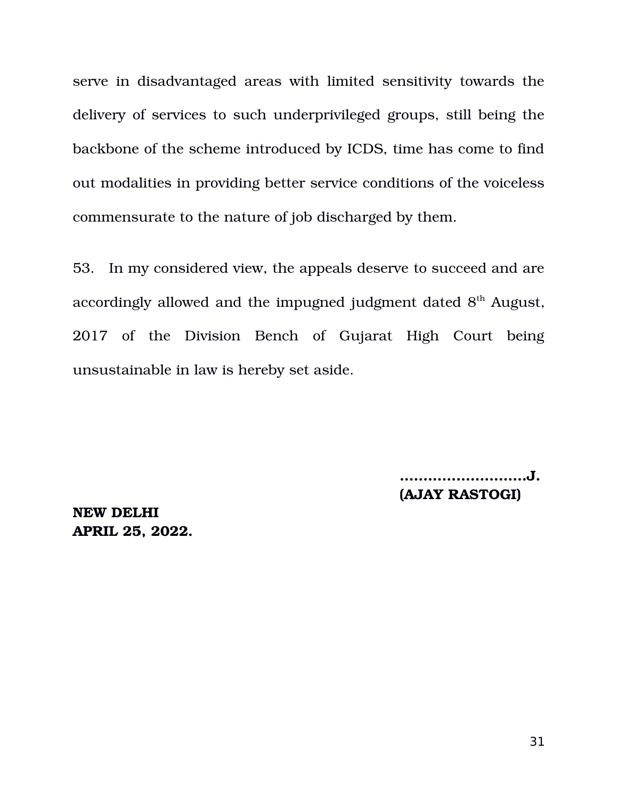serve in disadvantaged areas with limited sensitivity towards the delivery of services to such underprivileged groups, still being the backbone of the scheme introduced by ICDS, time has come to find out modalities in providing better service conditions of the voiceless commensurate to the nature of job discharged by them.

53. In my considered view, the appeals deserve to succeed and are accordingly allowed and the impugned judgment dated  $8<sup>th</sup>$  August, 2017 of the Division Bench of Gujarat High Court being unsustainable in law is hereby set aside.

> **………………………J. (AJAY RASTOGI)**

**NEW DELHI APRIL 25, 2022.**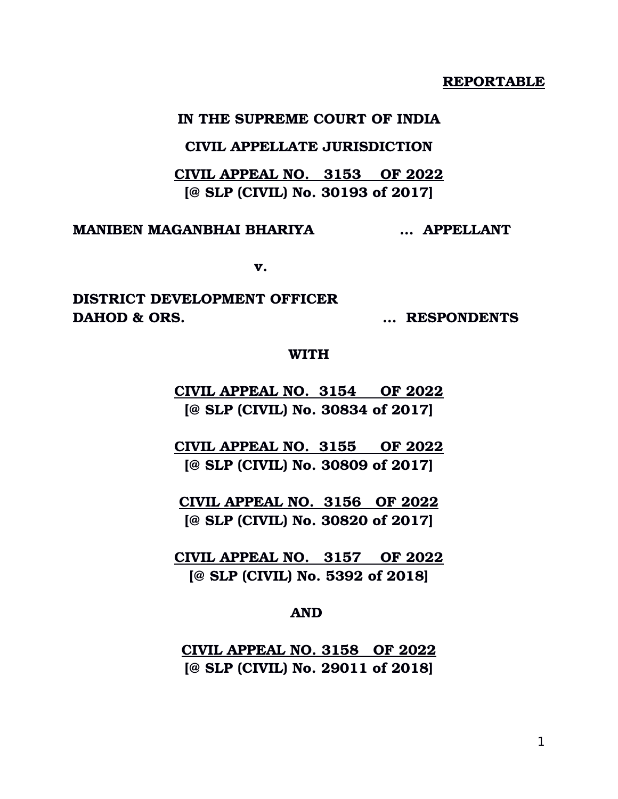#### **REPORTABLE**

#### **IN THE SUPREME COURT OF INDIA**

## **CIVIL APPELLATE JURISDICTION**

## **CIVIL APPEAL NO. 3153 OF 2022 [@ SLP (CIVIL) No. 30193 of 2017]**

**MANIBEN MAGANBHAI BHARIYA … APPELLANT**

**v.**

# **DISTRICT DEVELOPMENT OFFICER DAHOD & ORS. … RESPONDENTS**

#### **WITH**

**CIVIL APPEAL NO. 3154 OF 2022 [@ SLP (CIVIL) No. 30834 of 2017]**

**CIVIL APPEAL NO. 3155 OF 2022 [@ SLP (CIVIL) No. 30809 of 2017]**

**CIVIL APPEAL NO. 3156 OF 2022 [@ SLP (CIVIL) No. 30820 of 2017]**

**CIVIL APPEAL NO. 3157 OF 2022 [@ SLP (CIVIL) No. 5392 of 2018]**

#### **AND**

**CIVIL APPEAL NO. 3158 OF 2022 [@ SLP (CIVIL) No. 29011 of 2018]**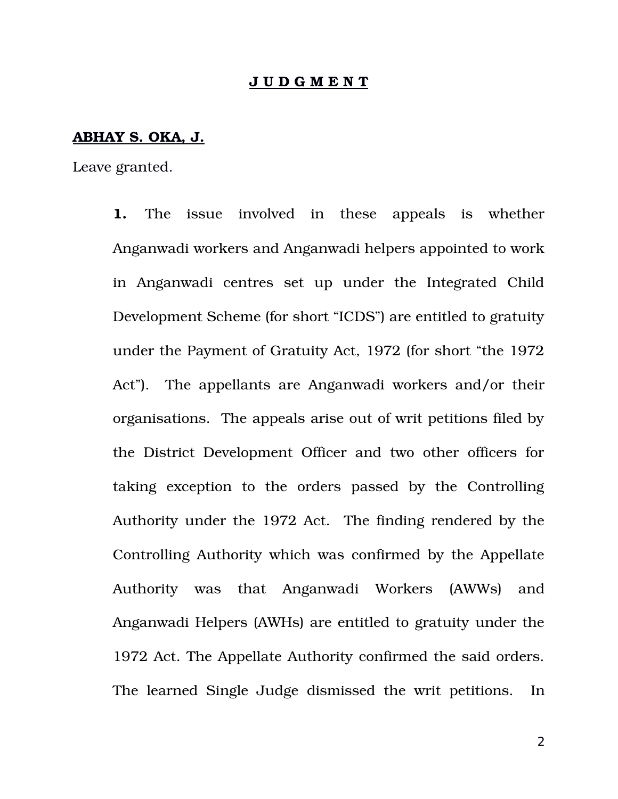#### **J U D G M E N T**

#### **ABHAY S. OKA, J.**

Leave granted.

**1.** The issue involved in these appeals is whether Anganwadi workers and Anganwadi helpers appointed to work in Anganwadi centres set up under the Integrated Child Development Scheme (for short "ICDS") are entitled to gratuity under the Payment of Gratuity Act, 1972 (for short "the 1972 Act"). The appellants are Anganwadi workers and/or their organisations. The appeals arise out of writ petitions filed by the District Development Officer and two other officers for taking exception to the orders passed by the Controlling Authority under the 1972 Act. The finding rendered by the Controlling Authority which was confirmed by the Appellate Authority was that Anganwadi Workers (AWWs) and Anganwadi Helpers (AWHs) are entitled to gratuity under the 1972 Act. The Appellate Authority confirmed the said orders. The learned Single Judge dismissed the writ petitions. In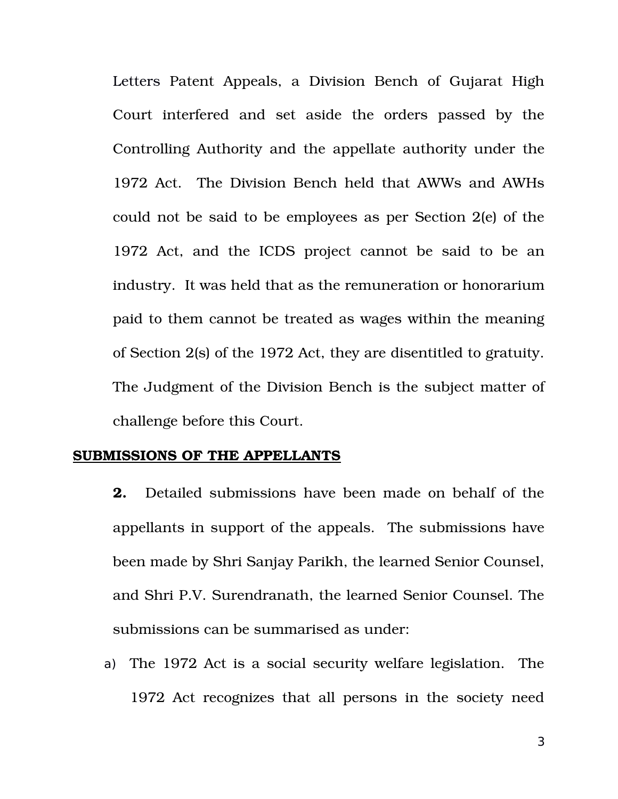Letters Patent Appeals, a Division Bench of Gujarat High Court interfered and set aside the orders passed by the Controlling Authority and the appellate authority under the 1972 Act. The Division Bench held that AWWs and AWHs could not be said to be employees as per Section 2(e) of the 1972 Act, and the ICDS project cannot be said to be an industry. It was held that as the remuneration or honorarium paid to them cannot be treated as wages within the meaning of Section 2(s) of the 1972 Act, they are disentitled to gratuity. The Judgment of the Division Bench is the subject matter of challenge before this Court.

## **SUBMISSIONS OF THE APPELLANTS**

- **2.** Detailed submissions have been made on behalf of the appellants in support of the appeals. The submissions have been made by Shri Sanjay Parikh, the learned Senior Counsel, and Shri P.V. Surendranath, the learned Senior Counsel. The submissions can be summarised as under:
- a) The 1972 Act is a social security welfare legislation. The 1972 Act recognizes that all persons in the society need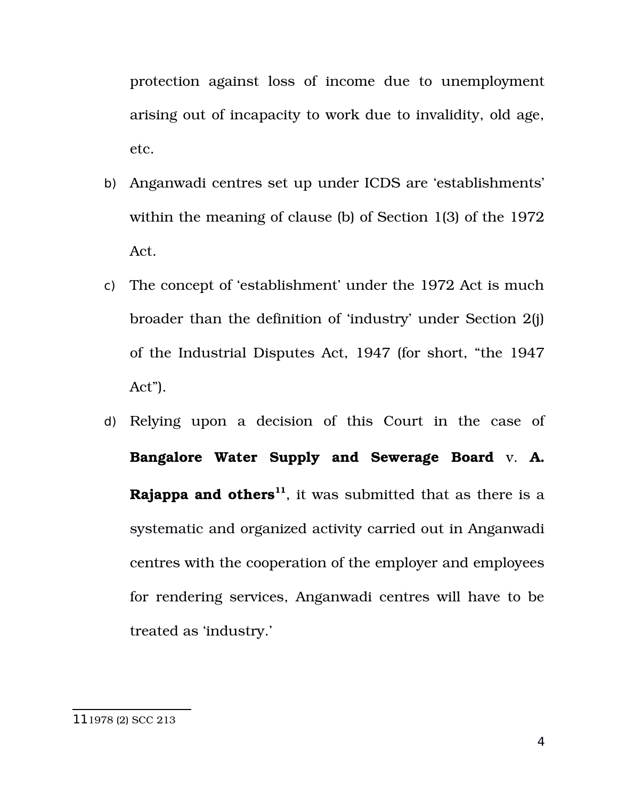protection against loss of income due to unemployment arising out of incapacity to work due to invalidity, old age, etc.

- b) Anganwadi centres set up under ICDS are 'establishments' within the meaning of clause (b) of Section 1(3) of the 1972 Act.
- c) The concept of 'establishment' under the 1972 Act is much broader than the definition of 'industry' under Section 2(j) of the Industrial Disputes Act, 1947 (for short, "the 1947 Act").
- d) Relying upon a decision of this Court in the case of **Bangalore Water Supply and Sewerage Board** v. **A. Rajappa and others[11](#page-34-0)**, it was submitted that as there is a systematic and organized activity carried out in Anganwadi centres with the cooperation of the employer and employees for rendering services, Anganwadi centres will have to be treated as 'industry.'

<span id="page-34-0"></span><sup>11</sup>1978 (2) SCC 213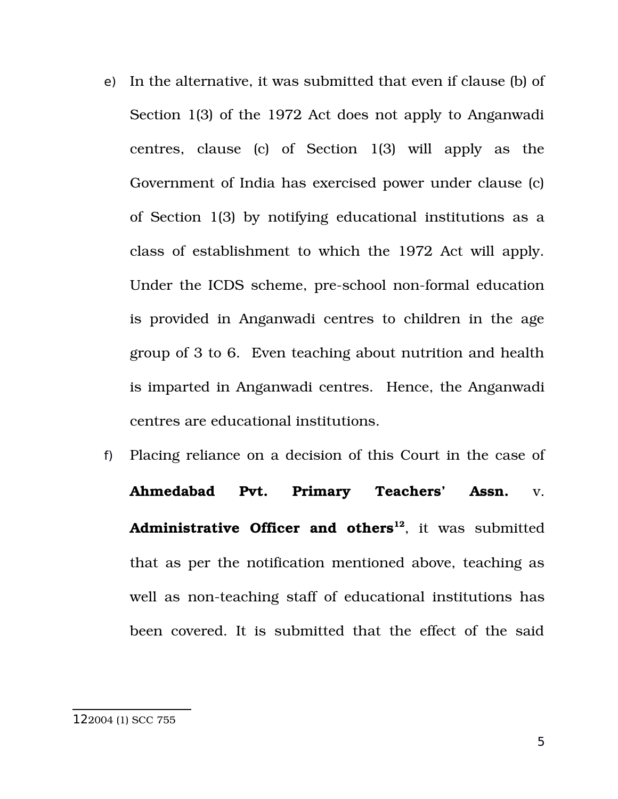- e) In the alternative, it was submitted that even if clause (b) of Section 1(3) of the 1972 Act does not apply to Anganwadi centres, clause (c) of Section  $1(3)$  will apply as the Government of India has exercised power under clause (c) of Section 1(3) by notifying educational institutions as a class of establishment to which the 1972 Act will apply. Under the ICDS scheme, pre-school non-formal education is provided in Anganwadi centres to children in the age group of 3 to 6. Even teaching about nutrition and health is imparted in Anganwadi centres. Hence, the Anganwadi centres are educational institutions.
- f) Placing reliance on a decision of this Court in the case of **Ahmedabad Pvt. Primary Teachers' Assn.** v. Administrative Officer and others<sup>[12](#page-35-0)</sup>, it was submitted that as per the notification mentioned above, teaching as well as non-teaching staff of educational institutions has been covered. It is submitted that the effect of the said

<span id="page-35-0"></span>122004 (1) SCC 755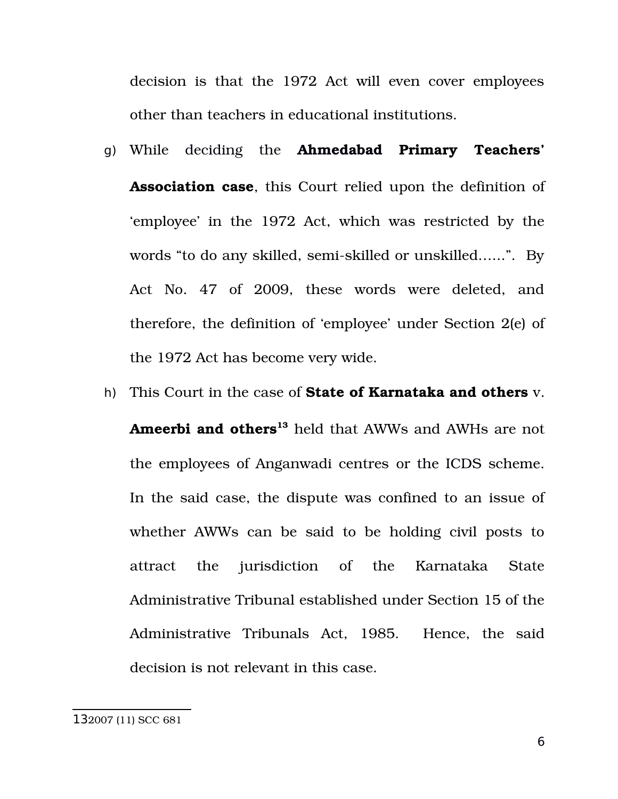decision is that the 1972 Act will even cover employees other than teachers in educational institutions.

- g) While deciding the **Ahmedabad Primary Teachers' Association case**, this Court relied upon the definition of 'employee' in the 1972 Act, which was restricted by the words "to do any skilled, semi-skilled or unskilled......". By Act No. 47 of 2009, these words were deleted, and therefore, the definition of 'employee' under Section 2(e) of the 1972 Act has become very wide.
- h) This Court in the case of **State of Karnataka and others** v. **Ameerbi and others[13](#page-36-0)** held that AWWs and AWHs are not the employees of Anganwadi centres or the ICDS scheme. In the said case, the dispute was confined to an issue of whether AWWs can be said to be holding civil posts to attract the jurisdiction of the Karnataka State Administrative Tribunal established under Section 15 of the Administrative Tribunals Act, 1985. Hence, the said decision is not relevant in this case.

<span id="page-36-0"></span><sup>13</sup>2007 (11) SCC 681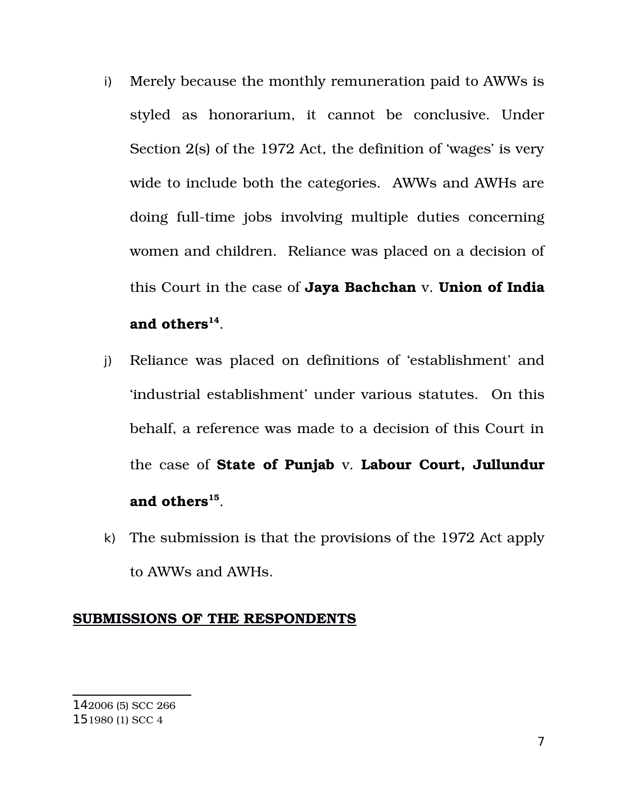- i) Merely because the monthly remuneration paid to AWWs is styled as honorarium, it cannot be conclusive. Under Section 2(s) of the 1972 Act, the definition of 'wages' is very wide to include both the categories. AWWs and AWHs are doing full-time jobs involving multiple duties concerning women and children. Reliance was placed on a decision of this Court in the case of **Jaya Bachchan** v. **Union of India and others[14](#page-37-0)** .
- j) Reliance was placed on definitions of 'establishment' and 'industrial establishment' under various statutes. On this behalf, a reference was made to a decision of this Court in the case of **State of Punjab** v. **Labour Court, Jullundur and others[15](#page-37-1)** .
- k) The submission is that the provisions of the 1972 Act apply to AWWs and AWHs.

## **SUBMISSIONS OF THE RESPONDENTS**

#### <span id="page-37-1"></span><span id="page-37-0"></span>142006 (5) SCC 266 151980 (1) SCC 4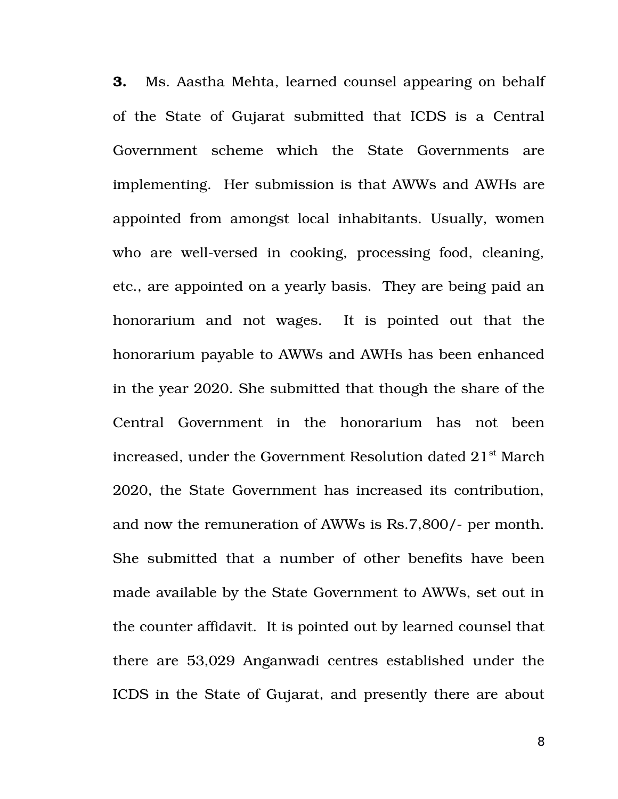**3.** Ms. Aastha Mehta, learned counsel appearing on behalf of the State of Gujarat submitted that ICDS is a Central Government scheme which the State Governments are implementing. Her submission is that AWWs and AWHs are appointed from amongst local inhabitants. Usually, women who are well-versed in cooking, processing food, cleaning, etc., are appointed on a yearly basis. They are being paid an honorarium and not wages. It is pointed out that the honorarium payable to AWWs and AWHs has been enhanced in the year 2020. She submitted that though the share of the Central Government in the honorarium has not been increased, under the Government Resolution dated  $21<sup>st</sup>$  March 2020, the State Government has increased its contribution, and now the remuneration of AWWs is Rs.7,800/- per month. She submitted that a number of other benefits have been made available by the State Government to AWWs, set out in the counter affidavit. It is pointed out by learned counsel that there are 53,029 Anganwadi centres established under the ICDS in the State of Gujarat, and presently there are about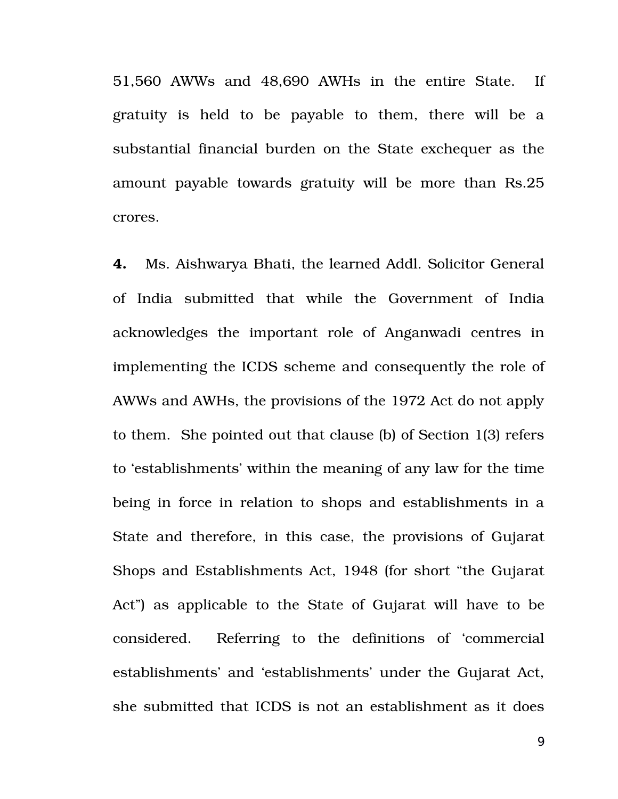51,560 AWWs and 48,690 AWHs in the entire State. If gratuity is held to be payable to them, there will be a substantial financial burden on the State exchequer as the amount payable towards gratuity will be more than Rs.25 crores.

**4.** Ms. Aishwarya Bhati, the learned Addl. Solicitor General of India submitted that while the Government of India acknowledges the important role of Anganwadi centres in implementing the ICDS scheme and consequently the role of AWWs and AWHs, the provisions of the 1972 Act do not apply to them. She pointed out that clause (b) of Section 1(3) refers to 'establishments' within the meaning of any law for the time being in force in relation to shops and establishments in a State and therefore, in this case, the provisions of Gujarat Shops and Establishments Act, 1948 (for short "the Gujarat Act") as applicable to the State of Gujarat will have to be considered. Referring to the definitions of 'commercial establishments' and 'establishments' under the Gujarat Act, she submitted that ICDS is not an establishment as it does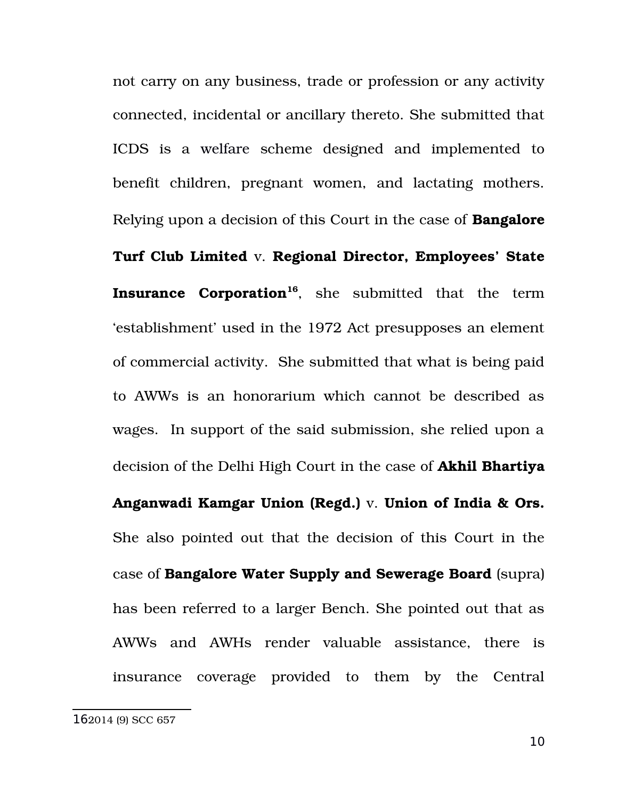not carry on any business, trade or profession or any activity connected, incidental or ancillary thereto. She submitted that ICDS is a welfare scheme designed and implemented to benefit children, pregnant women, and lactating mothers. Relying upon a decision of this Court in the case of **Bangalore**

**Turf Club Limited** v. **Regional Director, Employees' State**

**Insurance Corporation<sup>[16](#page-40-0)</sup>**, she submitted that the term 'establishment' used in the 1972 Act presupposes an element of commercial activity. She submitted that what is being paid to AWWs is an honorarium which cannot be described as wages. In support of the said submission, she relied upon a decision of the Delhi High Court in the case of **Akhil Bhartiya Anganwadi Kamgar Union (Regd.)** v. **Union of India & Ors.**

She also pointed out that the decision of this Court in the case of **Bangalore Water Supply and Sewerage Board** (supra) has been referred to a larger Bench. She pointed out that as AWWs and AWHs render valuable assistance, there is insurance coverage provided to them by the Central

<span id="page-40-0"></span><sup>16</sup>2014 (9) SCC 657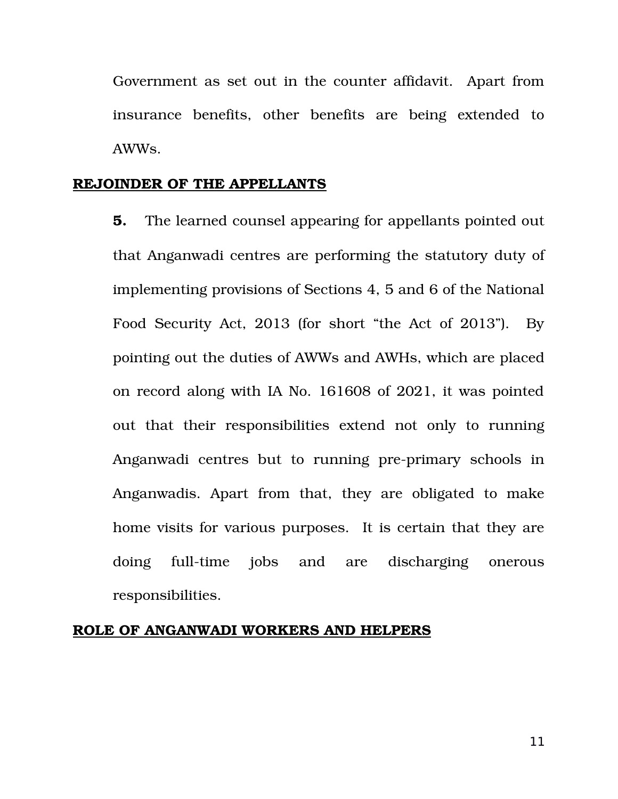Government as set out in the counter affidavit. Apart from insurance benefits, other benefits are being extended to AWWs.

### **REJOINDER OF THE APPELLANTS**

**5.** The learned counsel appearing for appellants pointed out that Anganwadi centres are performing the statutory duty of implementing provisions of Sections 4, 5 and 6 of the National Food Security Act, 2013 (for short "the Act of 2013"). By pointing out the duties of AWWs and AWHs, which are placed on record along with IA No. 161608 of 2021, it was pointed out that their responsibilities extend not only to running Anganwadi centres but to running pre-primary schools in Anganwadis. Apart from that, they are obligated to make home visits for various purposes. It is certain that they are doing full-time jobs and are discharging onerous responsibilities.

### **ROLE OF ANGANWADI WORKERS AND HELPERS**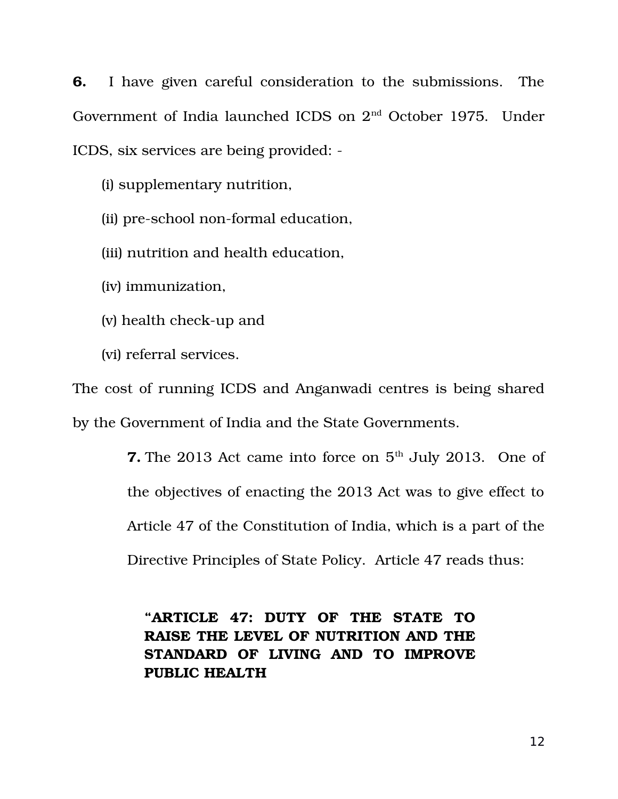**6.** I have given careful consideration to the submissions. The Government of India launched ICDS on 2<sup>nd</sup> October 1975. Under ICDS, six services are being provided:

(i) supplementary nutrition,

(ii) pre-school non-formal education,

(iii) nutrition and health education,

(iv) immunization,

(v) health check-up and

(vi) referral services.

The cost of running ICDS and Anganwadi centres is being shared by the Government of India and the State Governments.

> **7.** The 2013 Act came into force on 5<sup>th</sup> July 2013. One of the objectives of enacting the 2013 Act was to give effect to Article 47 of the Constitution of India, which is a part of the Directive Principles of State Policy. Article 47 reads thus:

**"ARTICLE 47: DUTY OF THE STATE TO RAISE THE LEVEL OF NUTRITION AND THE STANDARD OF LIVING AND TO IMPROVE PUBLIC HEALTH**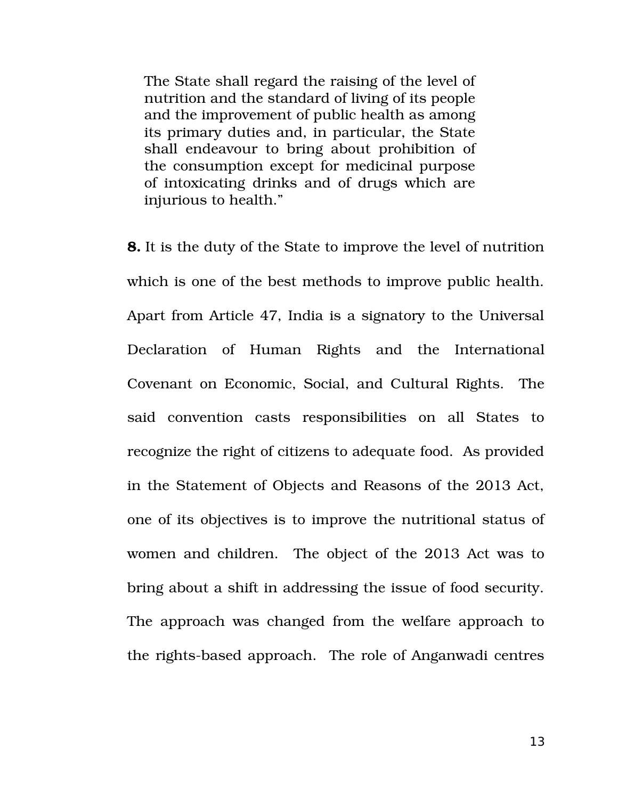The State shall regard the raising of the level of nutrition and the standard of living of its people and the improvement of public health as among its primary duties and, in particular, the State shall endeavour to bring about prohibition of the consumption except for medicinal purpose of intoxicating drinks and of drugs which are injurious to health."

**8.** It is the duty of the State to improve the level of nutrition which is one of the best methods to improve public health. Apart from Article 47, India is a signatory to the Universal Declaration of Human Rights and the International Covenant on Economic, Social, and Cultural Rights. The said convention casts responsibilities on all States to recognize the right of citizens to adequate food. As provided in the Statement of Objects and Reasons of the 2013 Act, one of its objectives is to improve the nutritional status of women and children. The object of the 2013 Act was to bring about a shift in addressing the issue of food security. The approach was changed from the welfare approach to the rights-based approach. The role of Anganwadi centres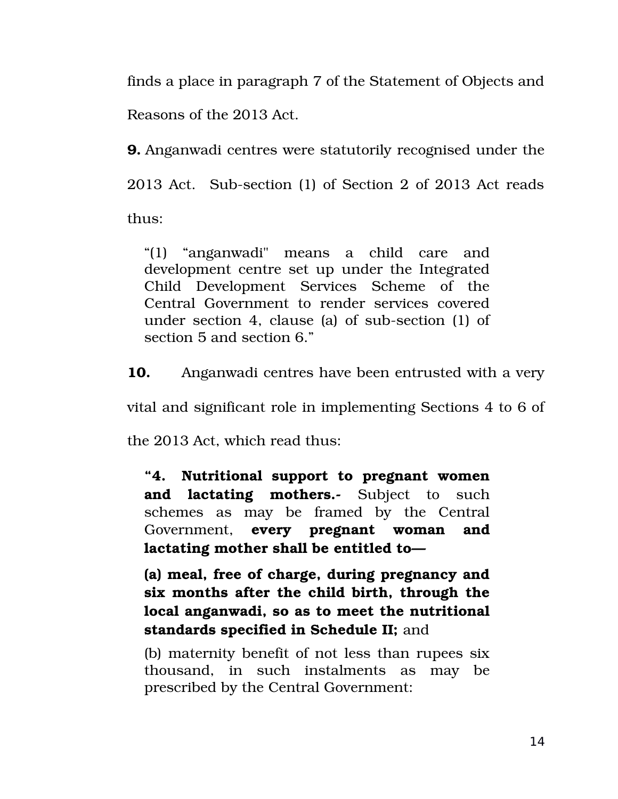finds a place in paragraph 7 of the Statement of Objects and Reasons of the 2013 Act.

**9.** Anganwadi centres were statutorily recognised under the 2013 Act. Sub-section (1) of Section 2 of 2013 Act reads thus:

"(1) "anganwadi" means a child care and development centre set up under the Integrated Child Development Services Scheme of the Central Government to render services covered under section 4, clause (a) of sub-section  $(1)$  of section 5 and section 6."

**10.** Anganwadi centres have been entrusted with a very

vital and significant role in implementing Sections 4 to 6 of

the 2013 Act, which read thus:

**"4. Nutritional support to pregnant women and lactating mothers.** Subject to such schemes as may be framed by the Central Government, **every pregnant woman and lactating mother shall be entitled to—**

**(a) meal, free of charge, during pregnancy and six months after the child birth, through the local anganwadi, so as to meet the nutritional standards specified in Schedule II;** and

(b) maternity benefit of not less than rupees six thousand, in such instalments as may be prescribed by the Central Government: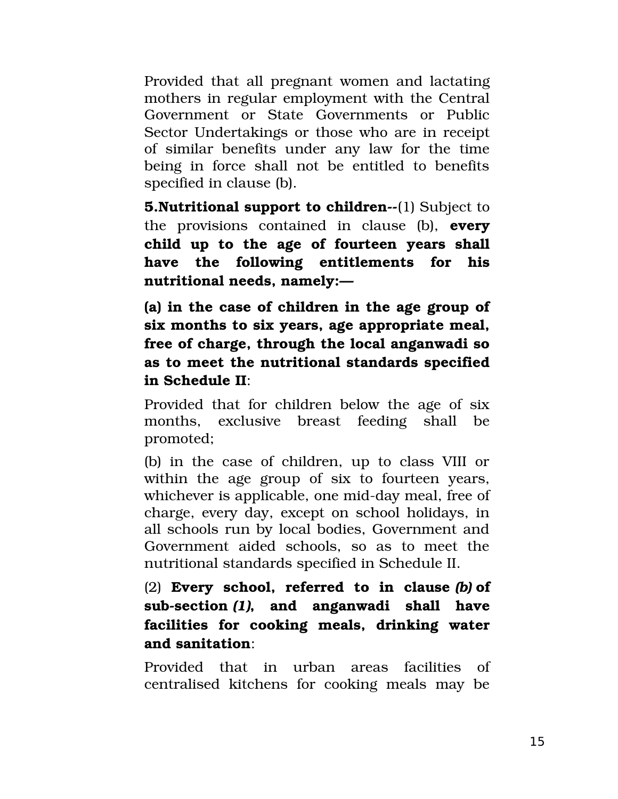Provided that all pregnant women and lactating mothers in regular employment with the Central Government or State Governments or Public Sector Undertakings or those who are in receipt of similar benefits under any law for the time being in force shall not be entitled to benefits specified in clause (b).

**5.Nutritional support to children--(1)** Subject to the provisions contained in clause (b), **every child up to the age of fourteen years shall have the following entitlements for his nutritional needs, namely:—**

**(a) in the case of children in the age group of six months to six years, age appropriate meal, free of charge, through the local anganwadi so as to meet the nutritional standards specified in Schedule II**:

Provided that for children below the age of six months, exclusive breast feeding shall be promoted;

(b) in the case of children, up to class VIII or within the age group of six to fourteen years, whichever is applicable, one mid-day meal, free of charge, every day, except on school holidays, in all schools run by local bodies, Government and Government aided schools, so as to meet the nutritional standards specified in Schedule II.

# (2) **Every school, referred to in clause** *(b)* **of subsection** *(1)***, and anganwadi shall have facilities for cooking meals, drinking water and sanitation**:

Provided that in urban areas facilities of centralised kitchens for cooking meals may be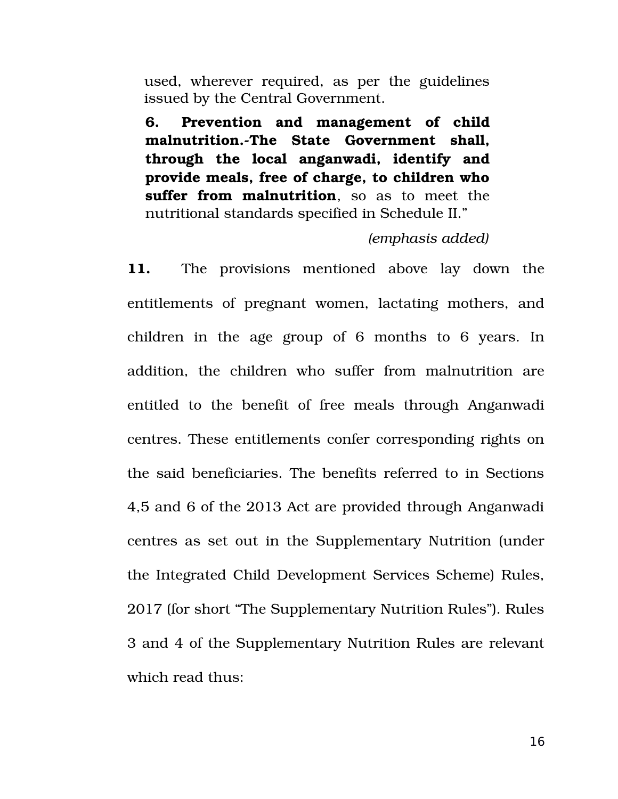used, wherever required, as per the guidelines issued by the Central Government.

**6. Prevention and management of child malnutrition.The State Government shall, through the local anganwadi, identify and provide meals, free of charge, to children who suffer from malnutrition**, so as to meet the nutritional standards specified in Schedule II."

### *(emphasis added)*

11. The provisions mentioned above lay down the entitlements of pregnant women, lactating mothers, and children in the age group of  $6$  months to  $6$  years. In addition, the children who suffer from malnutrition are entitled to the benefit of free meals through Anganwadi centres. These entitlements confer corresponding rights on the said beneficiaries. The benefits referred to in Sections 4,5 and 6 of the 2013 Act are provided through Anganwadi centres as set out in the Supplementary Nutrition (under the Integrated Child Development Services Scheme) Rules, 2017 (for short "The Supplementary Nutrition Rules"). Rules 3 and 4 of the Supplementary Nutrition Rules are relevant which read thus: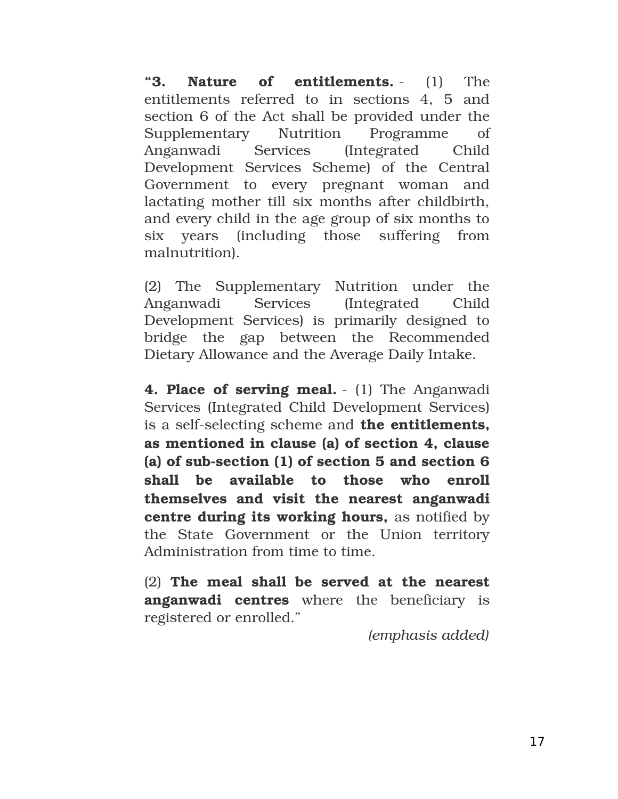**"3. Nature of entitlements.** (1) The entitlements referred to in sections 4, 5 and section 6 of the Act shall be provided under the Supplementary Nutrition Programme of Anganwadi Services (Integrated Child Development Services Scheme) of the Central Government to every pregnant woman and lactating mother till six months after childbirth, and every child in the age group of six months to six years (including those suffering from malnutrition).

(2) The Supplementary Nutrition under the Anganwadi Services (Integrated Child Development Services) is primarily designed to bridge the gap between the Recommended Dietary Allowance and the Average Daily Intake.

**4. Place of serving meal.** (1) The Anganwadi Services (Integrated Child Development Services) is a self-selecting scheme and **the entitlements**, **as mentioned in clause (a) of section 4, clause** (a) of sub-section (1) of section 5 and section 6 **shall be available to those who enroll themselves and visit the nearest anganwadi centre during its working hours,** as notified by the State Government or the Union territory Administration from time to time.

(2) **The meal shall be served at the nearest anganwadi centres** where the beneficiary is registered or enrolled."

*(emphasis added)*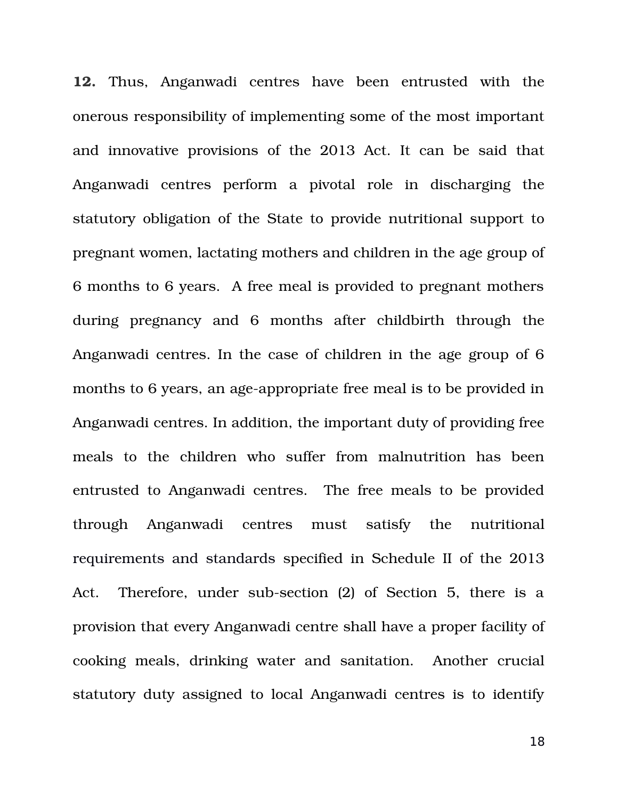12. Thus, Anganwadi centres have been entrusted with the onerous responsibility of implementing some of the most important and innovative provisions of the 2013 Act. It can be said that Anganwadi centres perform a pivotal role in discharging the statutory obligation of the State to provide nutritional support to pregnant women, lactating mothers and children in the age group of 6 months to 6 years. A free meal is provided to pregnant mothers during pregnancy and 6 months after childbirth through the Anganwadi centres. In the case of children in the age group of 6 months to 6 years, an age-appropriate free meal is to be provided in Anganwadi centres. In addition, the important duty of providing free meals to the children who suffer from malnutrition has been entrusted to Anganwadi centres. The free meals to be provided through Anganwadi centres must satisfy the nutritional requirements and standards specified in Schedule II of the 2013 Act. Therefore, under sub-section (2) of Section 5, there is a provision that every Anganwadi centre shall have a proper facility of cooking meals, drinking water and sanitation. Another crucial statutory duty assigned to local Anganwadi centres is to identify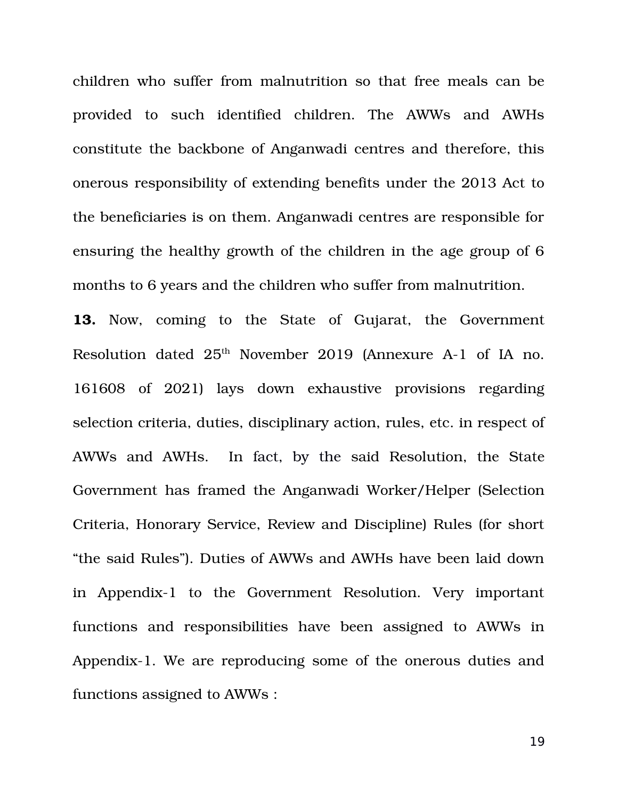children who suffer from malnutrition so that free meals can be provided to such identified children. The AWWs and AWHs constitute the backbone of Anganwadi centres and therefore, this onerous responsibility of extending benefits under the 2013 Act to the beneficiaries is on them. Anganwadi centres are responsible for ensuring the healthy growth of the children in the age group of 6 months to 6 years and the children who suffer from malnutrition.

13. Now, coming to the State of Gujarat, the Government Resolution dated  $25<sup>th</sup>$  November 2019 (Annexure A-1 of IA no. 161608 of 2021) lays down exhaustive provisions regarding selection criteria, duties, disciplinary action, rules, etc. in respect of AWWs and AWHs. In fact, by the said Resolution, the State Government has framed the Anganwadi Worker/Helper (Selection Criteria, Honorary Service, Review and Discipline) Rules (for short "the said Rules"). Duties of AWWs and AWHs have been laid down in Appendix-1 to the Government Resolution. Very important functions and responsibilities have been assigned to AWWs in Appendix-1. We are reproducing some of the onerous duties and functions assigned to AWWs :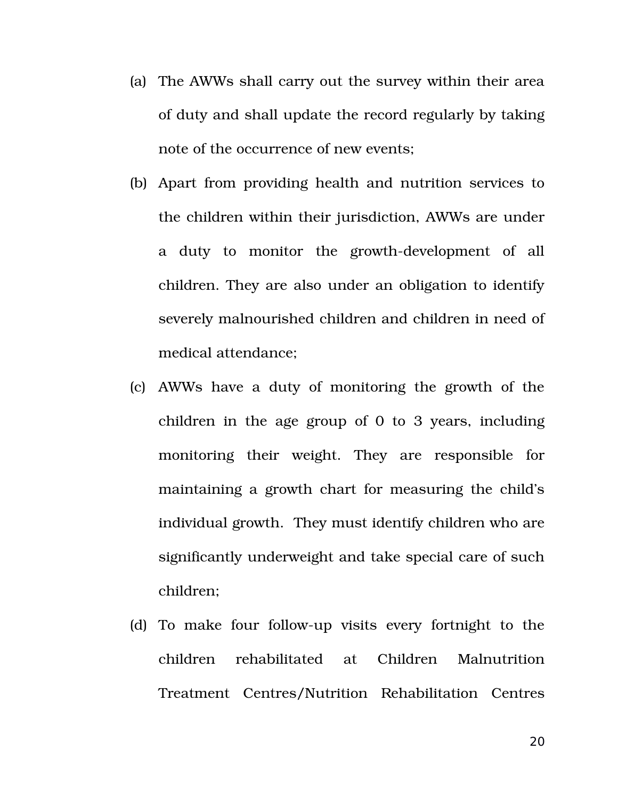- (a) The AWWs shall carry out the survey within their area of duty and shall update the record regularly by taking note of the occurrence of new events;
- (b) Apart from providing health and nutrition services to the children within their jurisdiction, AWWs are under a duty to monitor the growth-development of all children. They are also under an obligation to identify severely malnourished children and children in need of medical attendance;
- (c) AWWs have a duty of monitoring the growth of the children in the age group of 0 to 3 years, including monitoring their weight. They are responsible for maintaining a growth chart for measuring the child's individual growth. They must identify children who are significantly underweight and take special care of such children;
- (d) To make four follow-up visits every fortnight to the children rehabilitated at Children Malnutrition Treatment Centres/Nutrition Rehabilitation Centres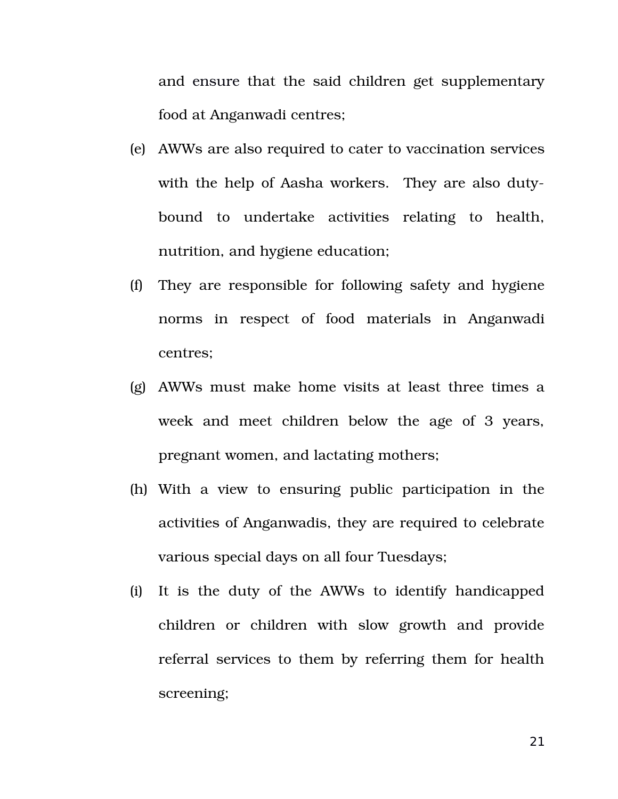and ensure that the said children get supplementary food at Anganwadi centres;

- (e) AWWs are also required to cater to vaccination services with the help of Aasha workers. They are also dutybound to undertake activities relating to health, nutrition, and hygiene education;
- (f) They are responsible for following safety and hygiene norms in respect of food materials in Anganwadi centres;
- (g) AWWs must make home visits at least three times a week and meet children below the age of 3 years, pregnant women, and lactating mothers;
- (h) With a view to ensuring public participation in the activities of Anganwadis, they are required to celebrate various special days on all four Tuesdays;
- (i) It is the duty of the AWWs to identify handicapped children or children with slow growth and provide referral services to them by referring them for health screening;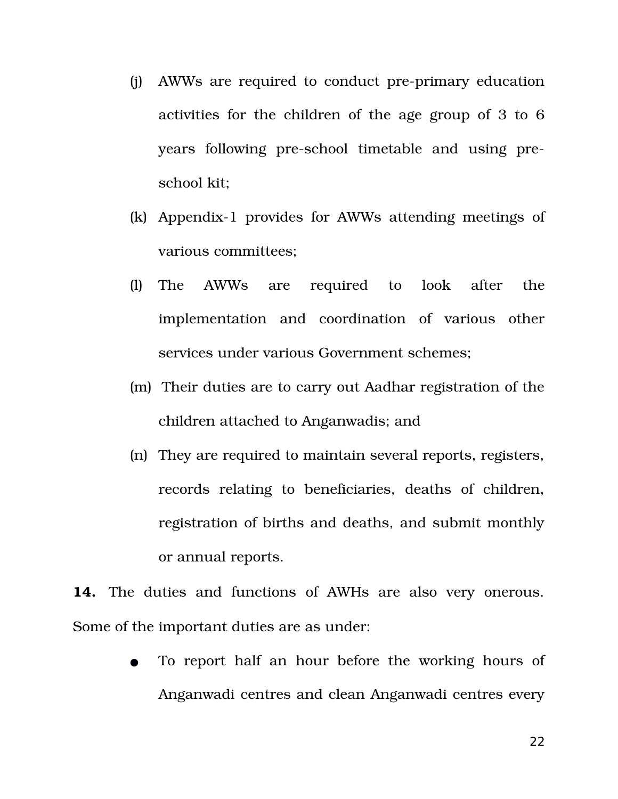- $(i)$  AWWs are required to conduct pre-primary education activities for the children of the age group of 3 to 6 years following pre-school timetable and using preschool kit;
- (k) Appendix-1 provides for AWWs attending meetings of various committees;
- (l) The AWWs are required to look after the implementation and coordination of various other services under various Government schemes;
- (m) Their duties are to carry out Aadhar registration of the children attached to Anganwadis; and
- (n) They are required to maintain several reports, registers, records relating to beneficiaries, deaths of children, registration of births and deaths, and submit monthly or annual reports.

14. The duties and functions of AWHs are also very onerous. Some of the important duties are as under:

> To report half an hour before the working hours of Anganwadi centres and clean Anganwadi centres every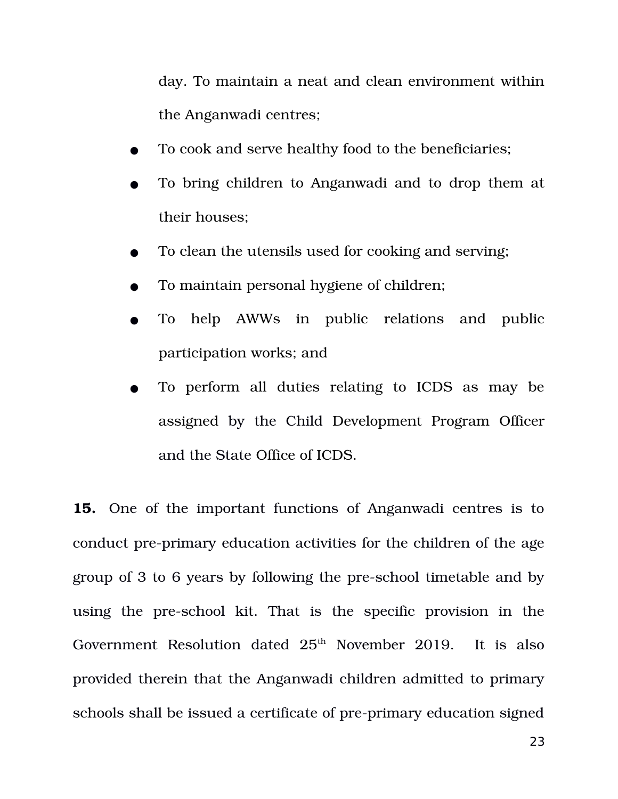day. To maintain a neat and clean environment within the Anganwadi centres;

- To cook and serve healthy food to the beneficiaries;
- To bring children to Anganwadi and to drop them at their houses;
- To clean the utensils used for cooking and serving;
- To maintain personal hygiene of children;
- To help AWWs in public relations and public participation works; and
- To perform all duties relating to ICDS as may be assigned by the Child Development Program Officer and the State Office of ICDS.

**15.** One of the important functions of Anganwadi centres is to conduct pre-primary education activities for the children of the age group of 3 to 6 years by following the pre-school timetable and by using the pre-school kit. That is the specific provision in the Government Resolution dated  $25<sup>th</sup>$  November 2019. It is also provided therein that the Anganwadi children admitted to primary schools shall be issued a certificate of pre-primary education signed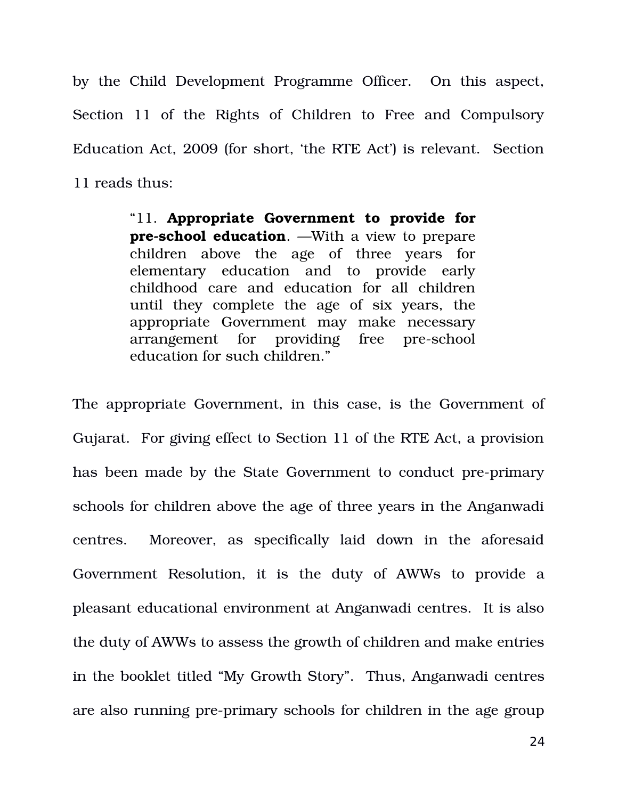by the Child Development Programme Officer. On this aspect, Section 11 of the Rights of Children to Free and Compulsory Education Act, 2009 (for short, 'the RTE Act') is relevant. Section 11 reads thus:

> "11. **Appropriate Government to provide for pre-school education**. —With a view to prepare children above the age of three years for elementary education and to provide early childhood care and education for all children until they complete the age of six years, the appropriate Government may make necessary arrangement for providing free pre-school education for such children."

The appropriate Government, in this case, is the Government of Gujarat. For giving effect to Section 11 of the RTE Act, a provision has been made by the State Government to conduct pre-primary schools for children above the age of three years in the Anganwadi centres. Moreover, as specifically laid down in the aforesaid Government Resolution, it is the duty of AWWs to provide a pleasant educational environment at Anganwadi centres. It is also the duty of AWWs to assess the growth of children and make entries in the booklet titled "My Growth Story". Thus, Anganwadi centres are also running pre-primary schools for children in the age group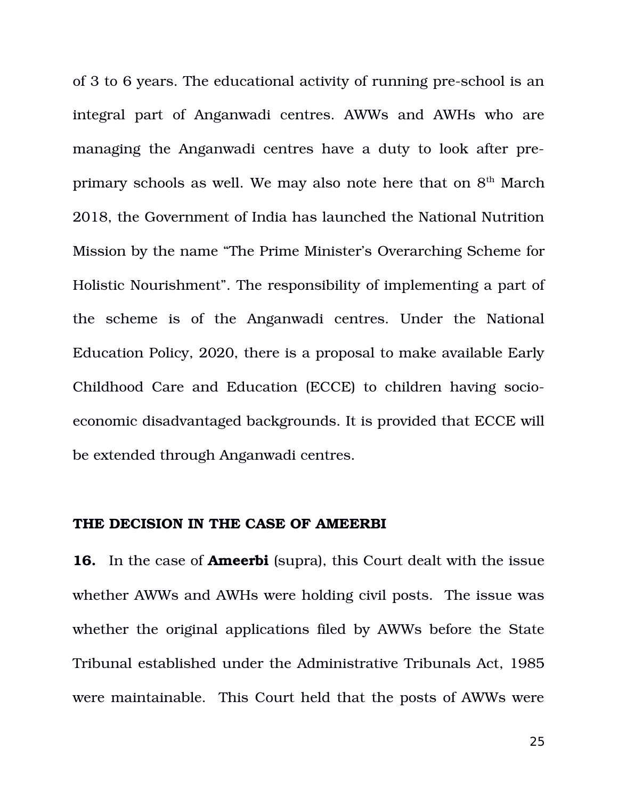of 3 to 6 years. The educational activity of running pre-school is an integral part of Anganwadi centres. AWWs and AWHs who are managing the Anganwadi centres have a duty to look after preprimary schools as well. We may also note here that on  $8<sup>th</sup>$  March 2018, the Government of India has launched the National Nutrition Mission by the name "The Prime Minister's Overarching Scheme for Holistic Nourishment". The responsibility of implementing a part of the scheme is of the Anganwadi centres. Under the National Education Policy, 2020, there is a proposal to make available Early Childhood Care and Education (ECCE) to children having socioeconomic disadvantaged backgrounds. It is provided that ECCE will be extended through Anganwadi centres.

### THE DECISION IN THE CASE OF AMEERBI

**16.** In the case of **Ameerbi** (supra), this Court dealt with the issue whether AWWs and AWHs were holding civil posts. The issue was whether the original applications filed by AWWs before the State Tribunal established under the Administrative Tribunals Act, 1985 were maintainable. This Court held that the posts of AWWs were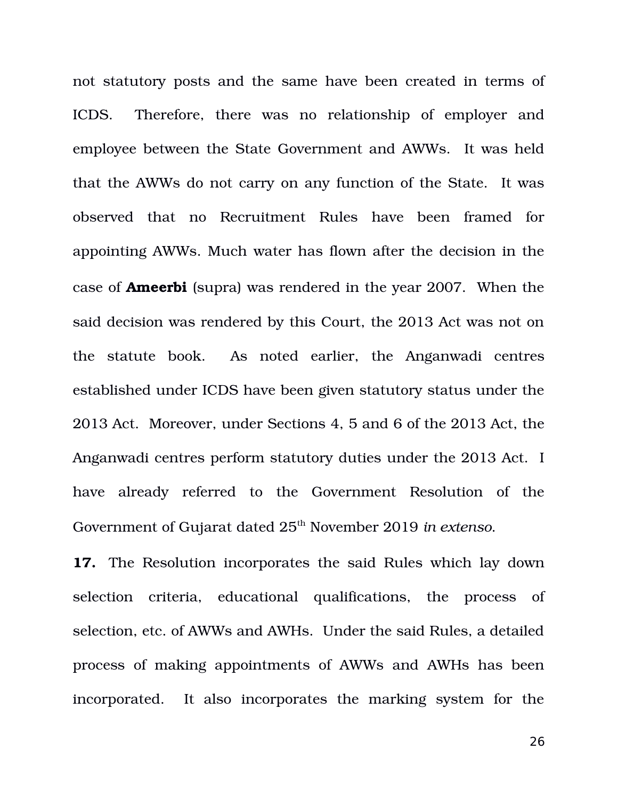not statutory posts and the same have been created in terms of ICDS. Therefore, there was no relationship of employer and employee between the State Government and AWWs. It was held that the AWWs do not carry on any function of the State. It was observed that no Recruitment Rules have been framed for appointing AWWs. Much water has flown after the decision in the case of **Ameerbi** (supra) was rendered in the year 2007. When the said decision was rendered by this Court, the 2013 Act was not on the statute book. As noted earlier, the Anganwadi centres established under ICDS have been given statutory status under the 2013 Act. Moreover, under Sections 4, 5 and 6 of the 2013 Act, the Anganwadi centres perform statutory duties under the 2013 Act. I have already referred to the Government Resolution of the Government of Gujarat dated  $25<sup>th</sup>$  November 2019 *in extenso*.

**17.** The Resolution incorporates the said Rules which lay down selection criteria, educational qualifications, the process of selection, etc. of AWWs and AWHs. Under the said Rules, a detailed process of making appointments of AWWs and AWHs has been incorporated. It also incorporates the marking system for the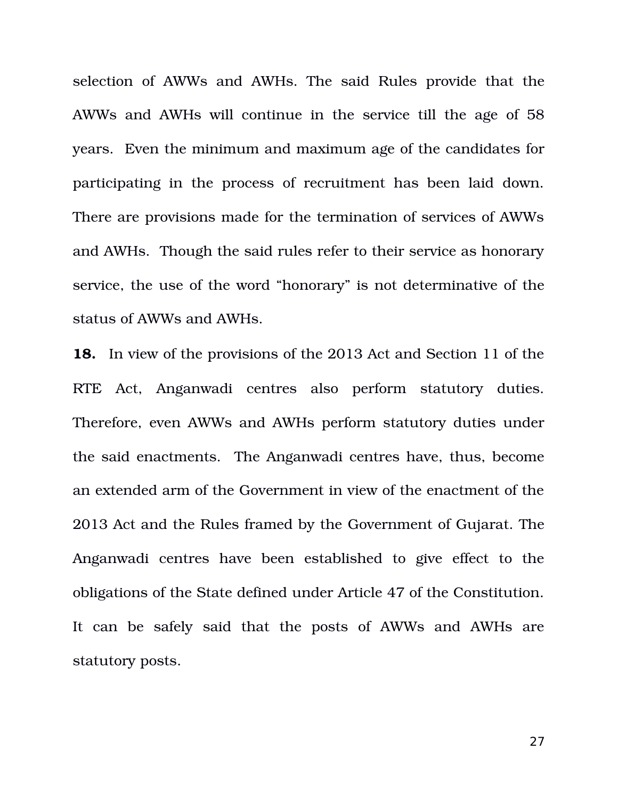selection of AWWs and AWHs. The said Rules provide that the AWWs and AWHs will continue in the service till the age of 58 years. Even the minimum and maximum age of the candidates for participating in the process of recruitment has been laid down. There are provisions made for the termination of services of AWWs and AWHs. Though the said rules refer to their service as honorary service, the use of the word "honorary" is not determinative of the status of AWWs and AWHs.

**18.** In view of the provisions of the 2013 Act and Section 11 of the RTE Act, Anganwadi centres also perform statutory duties. Therefore, even AWWs and AWHs perform statutory duties under the said enactments. The Anganwadi centres have, thus, become an extended arm of the Government in view of the enactment of the 2013 Act and the Rules framed by the Government of Gujarat. The Anganwadi centres have been established to give effect to the obligations of the State defined under Article 47 of the Constitution. It can be safely said that the posts of AWWs and AWHs are statutory posts.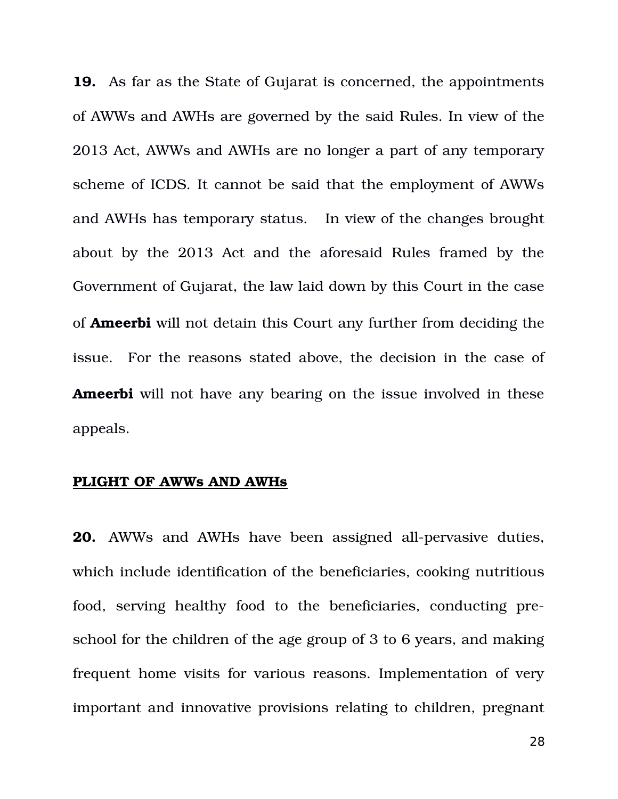**19.** As far as the State of Gujarat is concerned, the appointments of AWWs and AWHs are governed by the said Rules. In view of the 2013 Act, AWWs and AWHs are no longer a part of any temporary scheme of ICDS. It cannot be said that the employment of AWWs and AWHs has temporary status. In view of the changes brought about by the 2013 Act and the aforesaid Rules framed by the Government of Gujarat, the law laid down by this Court in the case of **Ameerbi** will not detain this Court any further from deciding the issue. For the reasons stated above, the decision in the case of **Ameerbi** will not have any bearing on the issue involved in these appeals.

### **PLIGHT OF AWWs AND AWHs**

**20.** AWWs and AWHs have been assigned all-pervasive duties, which include identification of the beneficiaries, cooking nutritious food, serving healthy food to the beneficiaries, conducting preschool for the children of the age group of 3 to 6 years, and making frequent home visits for various reasons. Implementation of very important and innovative provisions relating to children, pregnant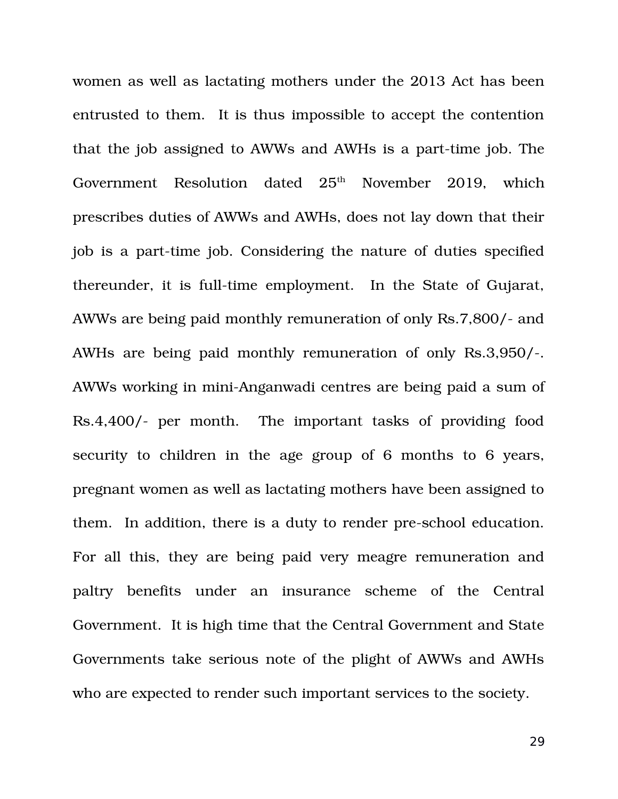women as well as lactating mothers under the 2013 Act has been entrusted to them. It is thus impossible to accept the contention that the job assigned to AWWs and AWHs is a part-time job. The Government Resolution dated  $25<sup>th</sup>$  November 2019, which prescribes duties of AWWs and AWHs, does not lay down that their job is a part-time job. Considering the nature of duties specified thereunder, it is full-time employment. In the State of Gujarat, AWWs are being paid monthly remuneration of only Rs.7,800/- and AWHs are being paid monthly remuneration of only Rs.3,950/. AWWs working in mini-Anganwadi centres are being paid a sum of Rs.4,400/- per month. The important tasks of providing food security to children in the age group of 6 months to 6 years, pregnant women as well as lactating mothers have been assigned to them. In addition, there is a duty to render pre-school education. For all this, they are being paid very meagre remuneration and paltry benefits under an insurance scheme of the Central Government. It is high time that the Central Government and State Governments take serious note of the plight of AWWs and AWHs who are expected to render such important services to the society.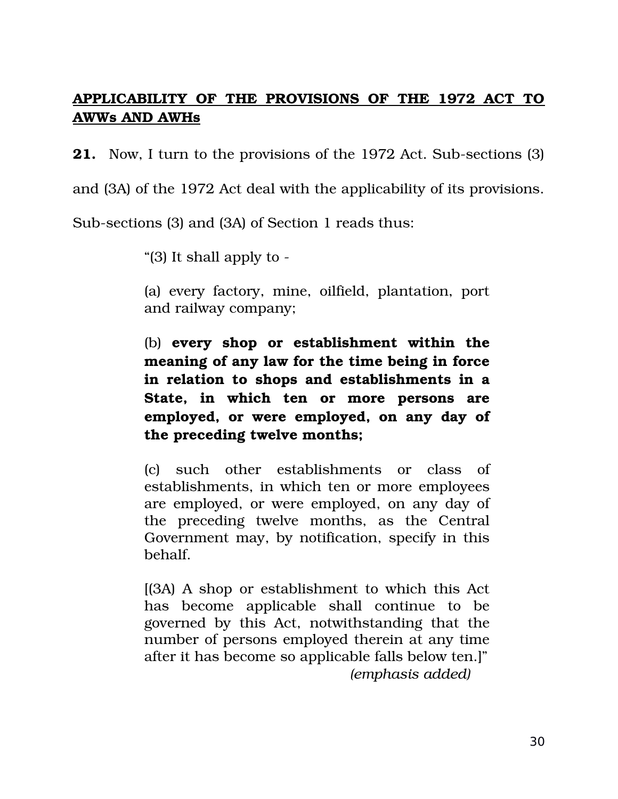# **APPLICABILITY OF THE PROVISIONS OF THE 1972 ACT TO AWWs AND AWHs**

**21.** Now, I turn to the provisions of the 1972 Act. Sub-sections (3)

and (3A) of the 1972 Act deal with the applicability of its provisions.

Sub-sections (3) and (3A) of Section 1 reads thus:

"(3) It shall apply to

(a) every factory, mine, oilfield, plantation, port and railway company;

(b) **every shop or establishment within the meaning of any law for the time being in force in relation to shops and establishments in a State, in which ten or more persons are employed, or were employed, on any day of the preceding twelve months;** 

(c) such other establishments or class of establishments, in which ten or more employees are employed, or were employed, on any day of the preceding twelve months, as the Central Government may, by notification, specify in this behalf.

[(3A) A shop or establishment to which this Act has become applicable shall continue to be governed by this Act, notwithstanding that the number of persons employed therein at any time after it has become so applicable falls below ten.]" *(emphasis added)*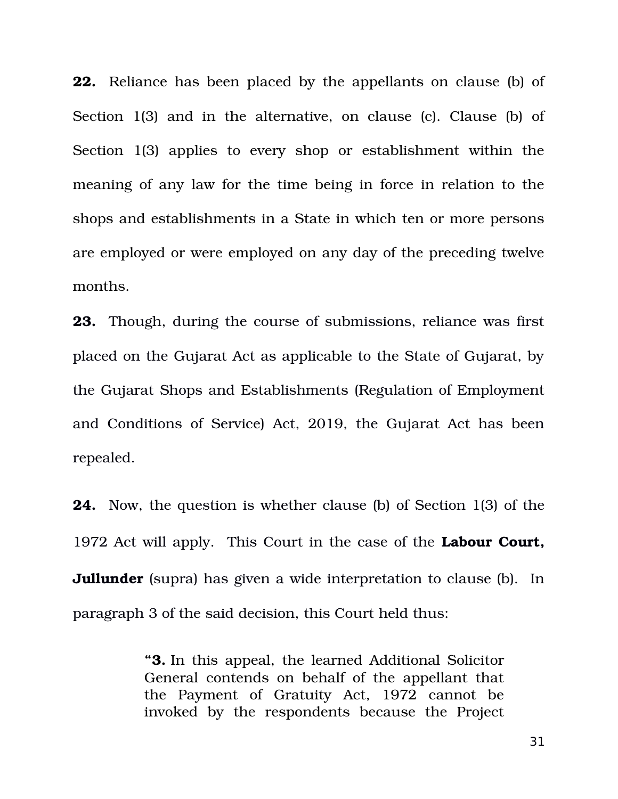**22.** Reliance has been placed by the appellants on clause (b) of Section 1(3) and in the alternative, on clause (c). Clause (b) of Section  $1(3)$  applies to every shop or establishment within the meaning of any law for the time being in force in relation to the shops and establishments in a State in which ten or more persons are employed or were employed on any day of the preceding twelve months.

**23.** Though, during the course of submissions, reliance was first placed on the Gujarat Act as applicable to the State of Gujarat, by the Gujarat Shops and Establishments (Regulation of Employment and Conditions of Service) Act, 2019, the Gujarat Act has been repealed.

**24.** Now, the question is whether clause (b) of Section 1(3) of the 1972 Act will apply. This Court in the case of the **Labour Court, Jullunder** (supra) has given a wide interpretation to clause (b). In paragraph 3 of the said decision, this Court held thus:

> **"3.** In this appeal, the learned Additional Solicitor General contends on behalf of the appellant that the Payment of Gratuity Act, 1972 cannot be invoked by the respondents because the Project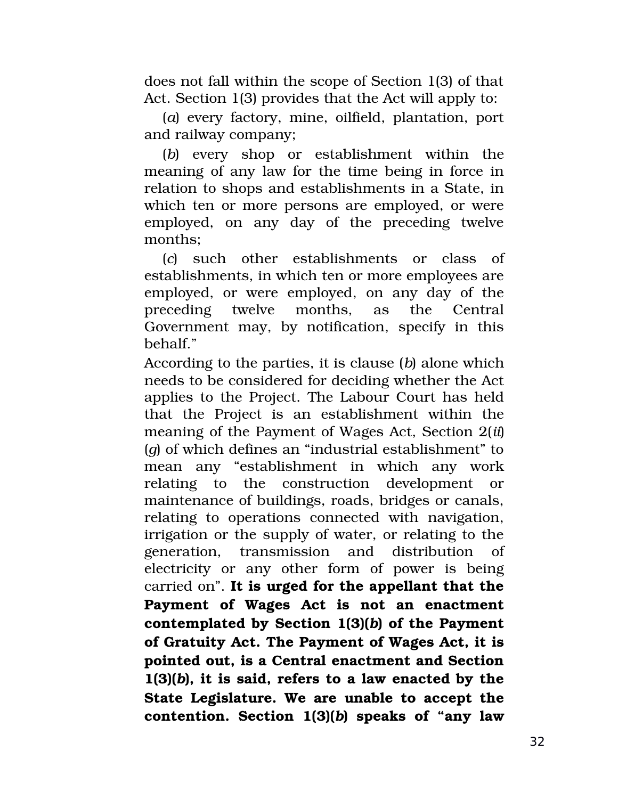does not fall within the scope of Section 1(3) of that Act. Section 1(3) provides that the Act will apply to:

(*a*) every factory, mine, oilfield, plantation, port and railway company;

(*b*) every shop or establishment within the meaning of any law for the time being in force in relation to shops and establishments in a State, in which ten or more persons are employed, or were employed, on any day of the preceding twelve months;

(*c*) such other establishments or class of establishments, in which ten or more employees are employed, or were employed, on any day of the preceding twelve months, as the Central Government may, by notification, specify in this behalf."

According to the parties, it is clause (*b*) alone which needs to be considered for deciding whether the Act applies to the Project. The Labour Court has held that the Project is an establishment within the meaning of the Payment of Wages Act, Section 2(*ii*) (*g*) of which defines an "industrial establishment" to mean any "establishment in which any work relating to the construction development or maintenance of buildings, roads, bridges or canals, relating to operations connected with navigation, irrigation or the supply of water, or relating to the generation, transmission and distribution of electricity or any other form of power is being carried on". **It is urged for the appellant that the Payment of Wages Act is not an enactment contemplated by Section 1(3)(***b***) of the Payment of Gratuity Act. The Payment of Wages Act, it is pointed out, is a Central enactment and Section 1(3)(***b***), it is said, refers to a law enacted by the State Legislature. We are unable to accept the contention. Section 1(3)(***b***) speaks of "any law**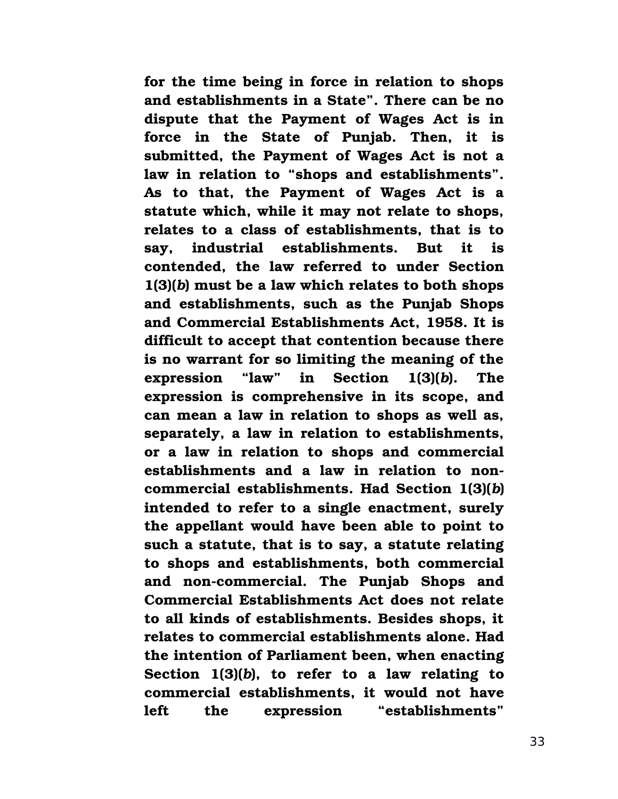**for the time being in force in relation to shops and establishments in a State". There can be no dispute that the Payment of Wages Act is in force in the State of Punjab. Then, it is submitted, the Payment of Wages Act is not a law in relation to "shops and establishments". As to that, the Payment of Wages Act is a statute which, while it may not relate to shops, relates to a class of establishments, that is to say, industrial establishments. But it is contended, the law referred to under Section 1(3)(***b***) must be a law which relates to both shops and establishments, such as the Punjab Shops and Commercial Establishments Act, 1958. It is difficult to accept that contention because there is no warrant for so limiting the meaning of the expression "law" in Section 1(3)(***b***). The expression is comprehensive in its scope, and can mean a law in relation to shops as well as, separately, a law in relation to establishments, or a law in relation to shops and commercial** establishments and a law in relation to non**commercial establishments. Had Section 1(3)(***b***) intended to refer to a single enactment, surely the appellant would have been able to point to such a statute, that is to say, a statute relating to shops and establishments, both commercial** and non-commercial. The Punjab Shops and **Commercial Establishments Act does not relate to all kinds of establishments. Besides shops, it relates to commercial establishments alone. Had the intention of Parliament been, when enacting Section 1(3)(***b***), to refer to a law relating to commercial establishments, it would not have left the expression "establishments"**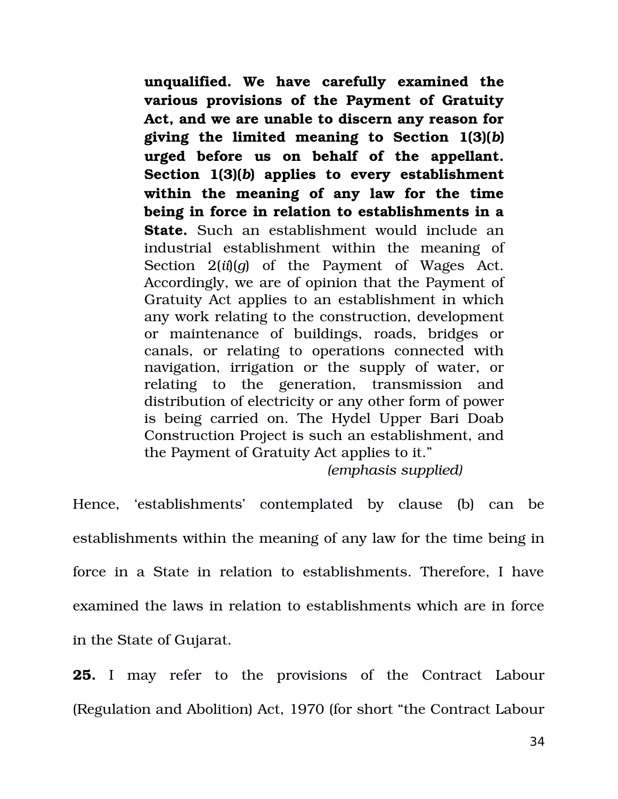**unqualified. We have carefully examined the various provisions of the Payment of Gratuity Act, and we are unable to discern any reason for giving the limited meaning to Section 1(3)(***b***) urged before us on behalf of the appellant. Section 1(3)(***b***) applies to every establishment within the meaning of any law for the time being in force in relation to establishments in a State.** Such an establishment would include an industrial establishment within the meaning of Section 2(*ii*)(*g*) of the Payment of Wages Act. Accordingly, we are of opinion that the Payment of Gratuity Act applies to an establishment in which any work relating to the construction, development or maintenance of buildings, roads, bridges or canals, or relating to operations connected with navigation, irrigation or the supply of water, or relating to the generation, transmission and distribution of electricity or any other form of power is being carried on. The Hydel Upper Bari Doab Construction Project is such an establishment, and the Payment of Gratuity Act applies to it."

*(emphasis supplied)*

Hence, 'establishments' contemplated by clause (b) can be establishments within the meaning of any law for the time being in force in a State in relation to establishments. Therefore, I have examined the laws in relation to establishments which are in force in the State of Gujarat.

**25.** I may refer to the provisions of the Contract Labour (Regulation and Abolition) Act, 1970 (for short "the Contract Labour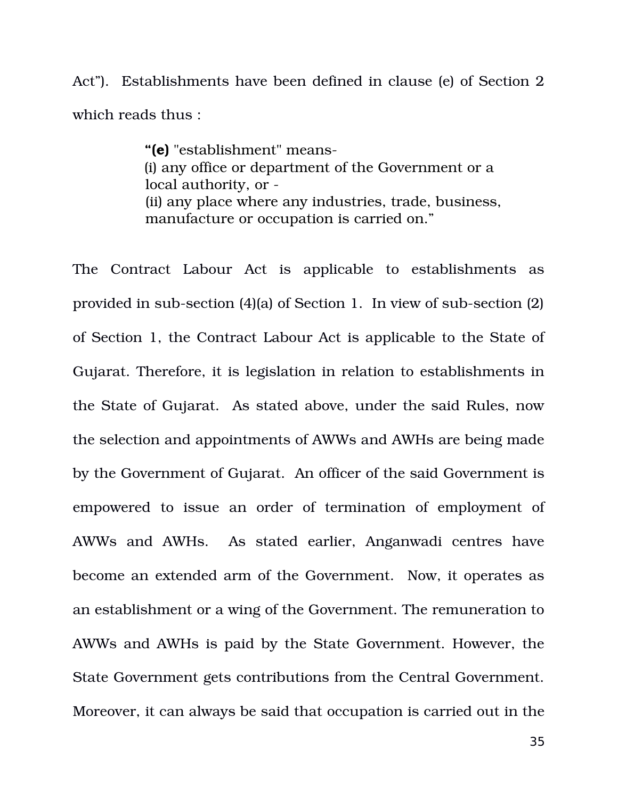Act"). Establishments have been defined in clause (e) of Section 2 which reads thus :

> **"(e)** "establishment" means (i) any office or department of the Government or a local authority, or (ii) any place where any industries, trade, business, manufacture or occupation is carried on."

The Contract Labour Act is applicable to establishments as provided in sub-section  $(4)(a)$  of Section 1. In view of sub-section  $(2)$ of Section 1, the Contract Labour Act is applicable to the State of Gujarat. Therefore, it is legislation in relation to establishments in the State of Gujarat. As stated above, under the said Rules, now the selection and appointments of AWWs and AWHs are being made by the Government of Gujarat. An officer of the said Government is empowered to issue an order of termination of employment of AWWs and AWHs. As stated earlier, Anganwadi centres have become an extended arm of the Government. Now, it operates as an establishment or a wing of the Government. The remuneration to AWWs and AWHs is paid by the State Government. However, the State Government gets contributions from the Central Government. Moreover, it can always be said that occupation is carried out in the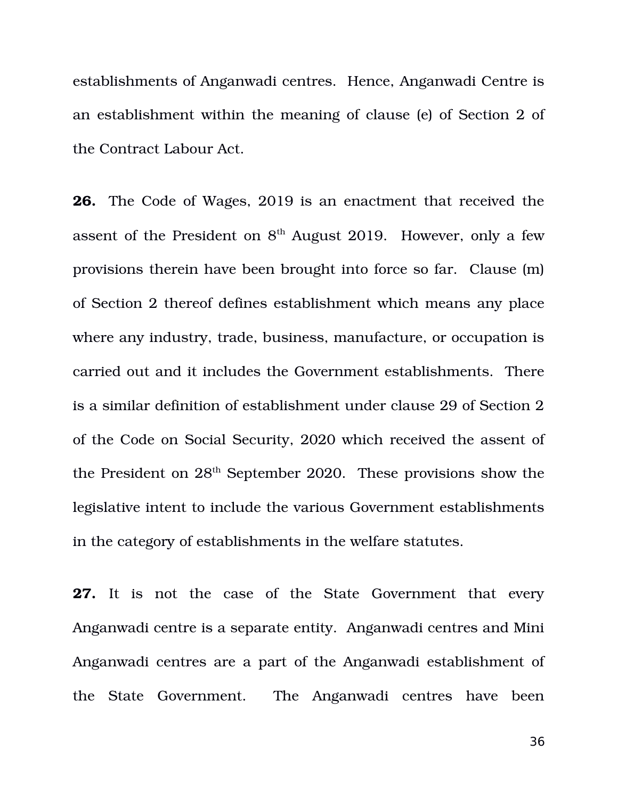establishments of Anganwadi centres. Hence, Anganwadi Centre is an establishment within the meaning of clause (e) of Section 2 of the Contract Labour Act.

**26.** The Code of Wages, 2019 is an enactment that received the assent of the President on  $8<sup>th</sup>$  August 2019. However, only a few provisions therein have been brought into force so far. Clause (m) of Section 2 thereof defines establishment which means any place where any industry, trade, business, manufacture, or occupation is carried out and it includes the Government establishments. There is a similar definition of establishment under clause 29 of Section 2 of the Code on Social Security, 2020 which received the assent of the President on 28th September 2020. These provisions show the legislative intent to include the various Government establishments in the category of establishments in the welfare statutes.

**27.** It is not the case of the State Government that every Anganwadi centre is a separate entity. Anganwadi centres and Mini Anganwadi centres are a part of the Anganwadi establishment of the State Government. The Anganwadi centres have been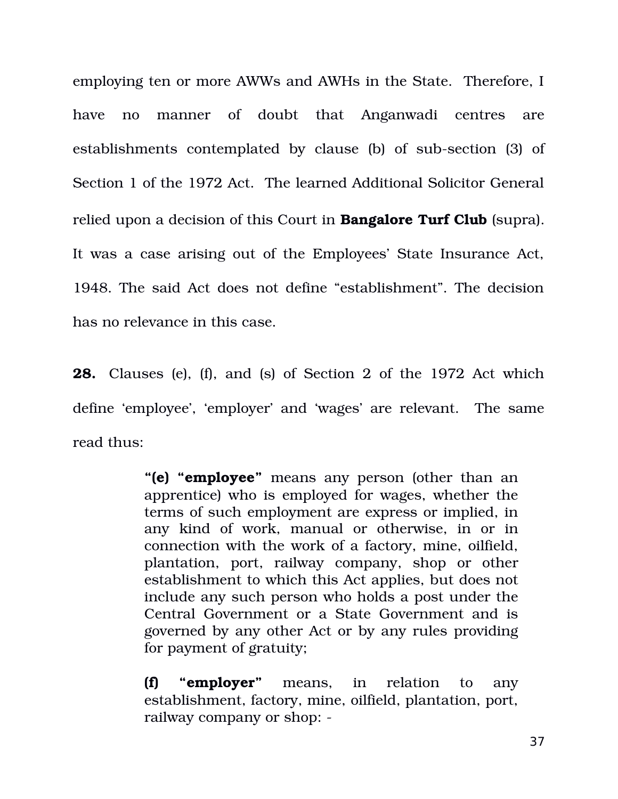employing ten or more AWWs and AWHs in the State. Therefore, I have no manner of doubt that Anganwadi centres are establishments contemplated by clause (b) of sub-section (3) of Section 1 of the 1972 Act. The learned Additional Solicitor General relied upon a decision of this Court in **Bangalore Turf Club** (supra). It was a case arising out of the Employees' State Insurance Act, 1948. The said Act does not define "establishment". The decision has no relevance in this case.

**28.** Clauses (e), (f), and (s) of Section 2 of the 1972 Act which define 'employee', 'employer' and 'wages' are relevant. The same read thus:

> "(e) "employee" means any person (other than an apprentice) who is employed for wages, whether the terms of such employment are express or implied, in any kind of work, manual or otherwise, in or in connection with the work of a factory, mine, oilfield, plantation, port, railway company, shop or other establishment to which this Act applies, but does not include any such person who holds a post under the Central Government or a State Government and is governed by any other Act or by any rules providing for payment of gratuity;

> **(f) "employer"** means, in relation to any establishment, factory, mine, oilfield, plantation, port, railway company or shop: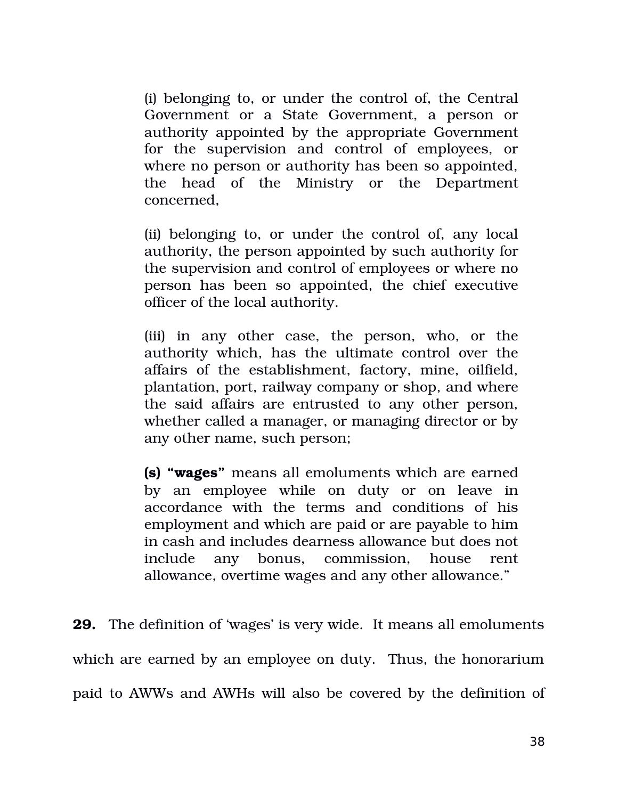(i) belonging to, or under the control of, the Central Government or a State Government, a person or authority appointed by the appropriate Government for the supervision and control of employees, or where no person or authority has been so appointed, the head of the Ministry or the Department concerned,

(ii) belonging to, or under the control of, any local authority, the person appointed by such authority for the supervision and control of employees or where no person has been so appointed, the chief executive officer of the local authority.

(iii) in any other case, the person, who, or the authority which, has the ultimate control over the affairs of the establishment, factory, mine, oilfield, plantation, port, railway company or shop, and where the said affairs are entrusted to any other person, whether called a manager, or managing director or by any other name, such person;

**(s) "wages"** means all emoluments which are earned by an employee while on duty or on leave in accordance with the terms and conditions of his employment and which are paid or are payable to him in cash and includes dearness allowance but does not include any bonus, commission, house rent allowance, overtime wages and any other allowance."

**29.** The definition of 'wages' is very wide. It means all emoluments which are earned by an employee on duty. Thus, the honorarium paid to AWWs and AWHs will also be covered by the definition of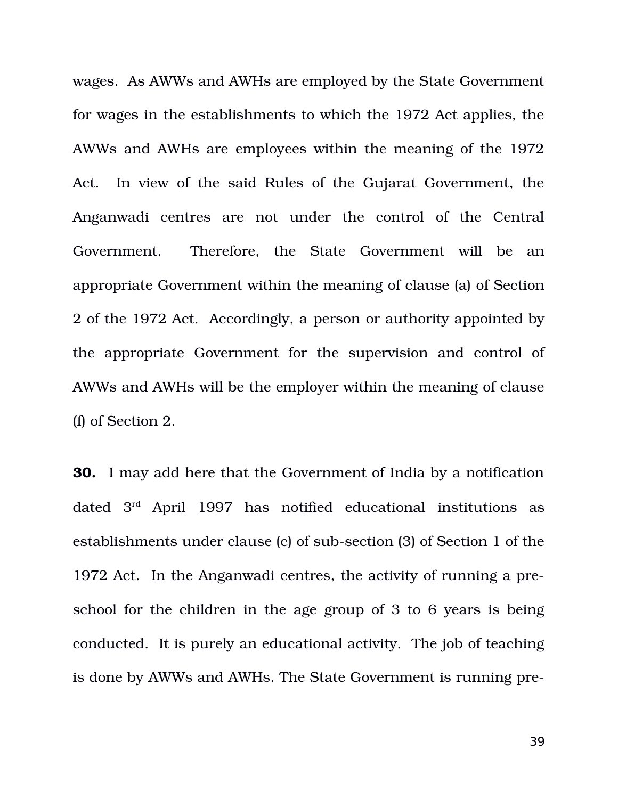wages. As AWWs and AWHs are employed by the State Government for wages in the establishments to which the 1972 Act applies, the AWWs and AWHs are employees within the meaning of the 1972 Act. In view of the said Rules of the Gujarat Government, the Anganwadi centres are not under the control of the Central Government. Therefore, the State Government will be an appropriate Government within the meaning of clause (a) of Section 2 of the 1972 Act. Accordingly, a person or authority appointed by the appropriate Government for the supervision and control of AWWs and AWHs will be the employer within the meaning of clause (f) of Section 2.

**30.** I may add here that the Government of India by a notification dated  $3<sup>rd</sup>$  April 1997 has notified educational institutions as establishments under clause (c) of sub-section (3) of Section 1 of the 1972 Act. In the Anganwadi centres, the activity of running a preschool for the children in the age group of 3 to 6 years is being conducted. It is purely an educational activity. The job of teaching is done by AWWs and AWHs. The State Government is running pre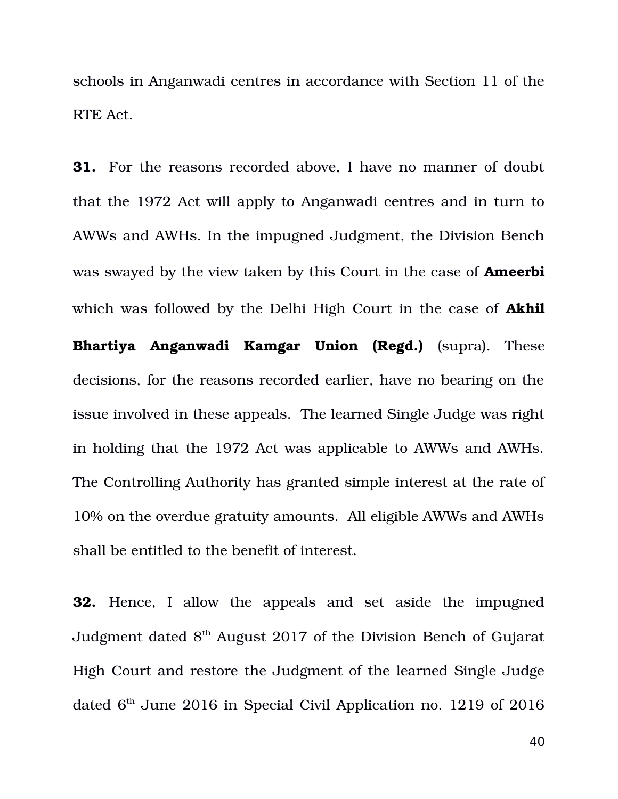schools in Anganwadi centres in accordance with Section 11 of the RTE Act.

**31.** For the reasons recorded above, I have no manner of doubt that the 1972 Act will apply to Anganwadi centres and in turn to AWWs and AWHs. In the impugned Judgment, the Division Bench was swayed by the view taken by this Court in the case of **Ameerbi** which was followed by the Delhi High Court in the case of **Akhil Bhartiya Anganwadi Kamgar Union (Regd.)** (supra). These decisions, for the reasons recorded earlier, have no bearing on the issue involved in these appeals. The learned Single Judge was right in holding that the 1972 Act was applicable to AWWs and AWHs. The Controlling Authority has granted simple interest at the rate of 10% on the overdue gratuity amounts. All eligible AWWs and AWHs shall be entitled to the benefit of interest.

**32.** Hence, I allow the appeals and set aside the impugned Judgment dated  $8<sup>th</sup>$  August 2017 of the Division Bench of Gujarat High Court and restore the Judgment of the learned Single Judge dated  $6<sup>th</sup>$  June 2016 in Special Civil Application no. 1219 of 2016